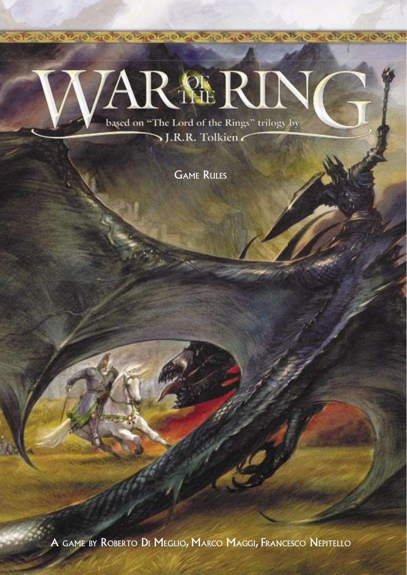# **AR** NERIN based on "The Lord of the Rings" trilogy by

SJ.R.R. Tolkien

**CARDIOR CHAIR TO A CARD OF CARD OF CARD OF CARDIOR OF** 

GAME RULES

A GAME BY ROBERTO DI MEGLIO, MARCO MAGGI, FRANCESCO NEPITELLO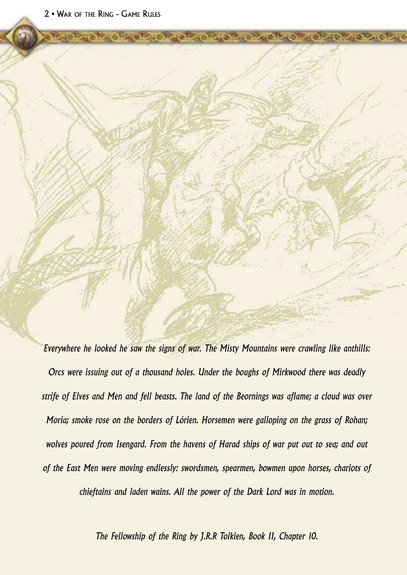*Everywhere he looked he saw the signs of war. The Misty Mountains were crawling like anthills: Orcs were issuing out of a thousand holes. Under the boughs of Mirkwood there was deadly strife of Elves and Men and fell beasts. The land of the Beornings was aflame; a cloud was over Moria; smoke rose on the borders of Lórien. Horsemen were galloping on the grass of Rohan; wolves poured from Isengard. From the havens of Harad ships of war put out to sea; and out of the East Men were moving endlessly: swordsmen, spearmen, bowmen upon horses, chariots of chieftains and laden wains. All the power of the Dark Lord was in motion.* 

**INVESTIGATION CONTINUES** 

*The Fellowship of the Ring by J.R.R Tolkien, Book II, Chapter 10.*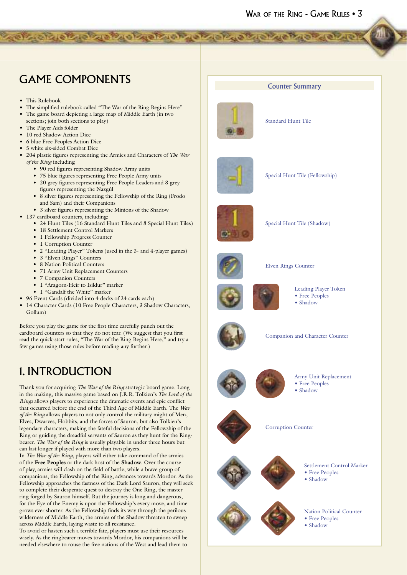# GAME COMPONENTS

- This Rulebook
- The simplified rulebook called "The War of the Ring Begins Here"

de la propieda de la propieda de la propieda de la

- The game board depicting a large map of Middle Earth (in two
- sections; join both sections to play)
- The Player Aids folder
- 10 red Shadow Action Dice
- 6 blue Free Peoples Action Dice
- 5 white six-sided Combat Dice
- 204 plastic figures representing the Armies and Characters of *The War of the Ring* including
	- 90 red figures representing Shadow Army units
	- 75 blue figures representing Free People Army units
	- 20 grey figures representing Free People Leaders and 8 grey figures representing the Nazgûl
	- 8 silver figures representing the Fellowship of the Ring (Frodo and Sam) and their Companions
	- 3 silver figures representing the Minions of the Shadow
- 137 cardboard counters, including:
	- 24 Hunt Tiles (16 Standard Hunt Tiles and 8 Special Hunt Tiles)
	- 18 Settlement Control Markers
	- 1 Fellowship Progress Counter
	- 1 Corruption Counter
	- 2 "Leading Player" Tokens (used in the 3- and 4-player games)
	- 3 "Elven Rings" Counters
	- 8 Nation Political Counters
	- 71 Army Unit Replacement Counters
	- 7 Companion Counters
	- 1 "Aragorn-Heir to Isildur" marker
	- 1 "Gandalf the White" marker
- 96 Event Cards (divided into 4 decks of 24 cards each)
- 14 Character Cards (10 Free People Characters, 3 Shadow Characters, Gollum)

Before you play the game for the first time carefully punch out the cardboard counters so that they do not tear. (We suggest that you first read the quick-start rules, "The War of the Ring Begins Here," and try a few games using those rules before reading any further.)

# 1. INTRODUCTION

Thank you for acquiring *The War of the Ring* strategic board game. Long in the making, this massive game based on J.R.R. Tolkien's *The Lord of the Rings* allows players to experience the dramatic events and epic conflict that occurred before the end of the Third Age of Middle Earth. The *War of the Ring* allows players to not only control the military might of Men, Elves, Dwarves, Hobbits, and the forces of Sauron, but also Tolkien's legendary characters, making the fateful decisions of the Fellowship of the Ring or guiding the dreadful servants of Sauron as they hunt for the Ringbearer. *The War of the Ring* is usually playable in under three hours but can last longer if played with more than two players.

In *The War of the Ring*, players will either take command of the armies of the **Free Peoples** or the dark host of the **Shadow**. Over the course of play, armies will clash on the field of battle, while a brave group of companions, the Fellowship of the Ring, advances towards Mordor. As the Fellowship approaches the fastness of the Dark Lord Sauron, they will seek to complete their desperate quest to destroy the One Ring, the master ring forged by Sauron himself. But the journey is long and dangerous, for the Eye of the Enemy is upon the Fellowship's every move, and time grows ever shorter. As the Fellowship finds its way through the perilous wilderness of Middle Earth, the armies of the Shadow threaten to sweep across Middle Earth, laying waste to all resistance.

To avoid or hasten such a terrible fate, players must use their resources wisely. As the ringbearer moves towards Mordor, his companions will be needed elsewhere to rouse the free nations of the West and lead them to



Standard Hunt Tile



Special Hunt Tile (Fellowship)



Special Hunt Tile (Shadow)



Elven Rings Counter



# Leading Player Token

- Free Peoples • Shadow
- 

Corruption Counter



Companion and Character Counter



Army Unit Replacement • Free Peoples • Shadow





- Settlement Control Marker • Free Peoples
- Shadow



Nation Political Counter • Free Peoples • Shadow

### Counter Summary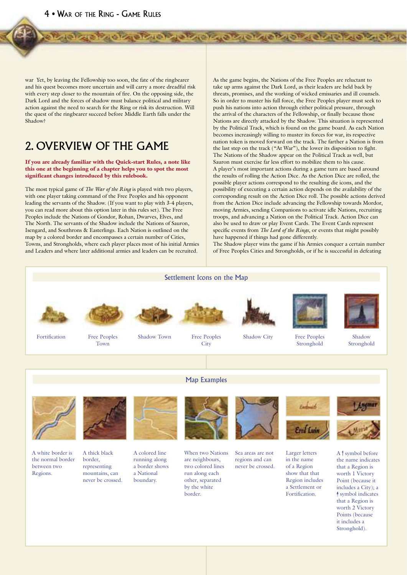war Yet, by leaving the Fellowship too soon, the fate of the ringbearer and his quest becomes more uncertain and will carry a more dreadful risk with every step closer to the mountain of fire. On the opposing side, the Dark Lord and the forces of shadow must balance political and military action against the need to search for the Ring or risk its destruction. Will the quest of the ringbearer succeed before Middle Earth falls under the Shadow?

# 2. OVERVIEW OF THE GAME

#### If you are already familiar with the Quick-start Rules, a note like this one at the beginning of a chapter helps you to spot the most significant changes introduced by this rulebook.

The most typical game of *The War of the Ring* is played with two players, with one player taking command of the Free Peoples and his opponent leading the servants of the Shadow. (If you want to play with 3-4 players, you can read more about this option later in this rules set). The Free Peoples include the Nations of Gondor, Rohan, Dwarves, Elves, and The North. The servants of the Shadow include the Nations of Sauron, Isengard, and Southrons & Easterlings. Each Nation is outlined on the map by a colored border and encompasses a certain number of Cities, Towns, and Strongholds, where each player places most of his initial Armies and Leaders and where later additional armies and leaders can be recruited.

As the game begins, the Nations of the Free Peoples are reluctant to take up arms against the Dark Lord, as their leaders are held back by threats, promises, and the working of wicked emissaries and ill counsels. So in order to muster his full force, the Free Peoples player must seek to push his nations into action through either political pressure, through the arrival of the characters of the Fellowship, or finally because those Nations are directly attacked by the Shadow. This situation is represented by the Political Track, which is found on the game board. As each Nation becomes increasingly willing to muster its forces for war, its respective nation token is moved forward on the track. The farther a Nation is from the last step on the track ("At War"), the lower its disposition to fight. The Nations of the Shadow appear on the Political Track as well, but Sauron must exercise far less effort to mobilize them to his cause. A player's most important actions during a game turn are based around the results of rolling the Action Dice. As the Action Dice are rolled, the possible player actions correspond to the resulting die icons, and the possibility of executing a certain action depends on the availability of the corresponding result on the Action Dice roll. The possible actions derived from the Action Dice include advancing the Fellowship towards Mordor, moving Armies, sending Companions to activate idle Nations, recruiting troops, and advancing a Nation on the Political Track. Action Dice can also be used to draw or play Event Cards. The Event Cards represent specific events from *The Lord of the Rings*, or events that might possibly have happened if things had gone differently.

**THE READ AND A REPORT OF A STATE OF A STATE OF A STATE OF A STATE OF A STATE OF A STATE OF A STATE OF A STATE OF A STATE OF A STATE OF A STATE OF A STATE OF A STATE OF A STATE OF A STATE OF A STATE OF A STATE OF A STATE O** 

The Shadow player wins the game if his Armies conquer a certain number of Free Peoples Cities and Strongholds, or if he is successful in defeating

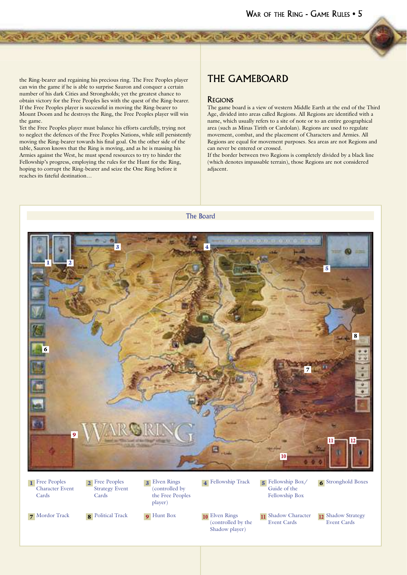the Ring-bearer and regaining his precious ring. The Free Peoples player can win the game if he is able to surprise Sauron and conquer a certain number of his dark Cities and Strongholds; yet the greatest chance to obtain victory for the Free Peoples lies with the quest of the Ring-bearer. If the Free Peoples player is successful in moving the Ring-bearer to Mount Doom and he destroys the Ring, the Free Peoples player will win the game.

**A REAL PROPERTY OF A PARTICULAR PARTICULAR PARTICULAR** 

Yet the Free Peoples player must balance his efforts carefully, trying not to neglect the defences of the Free Peoples Nations, while still persistently moving the Ring-bearer towards his final goal. On the other side of the table, Sauron knows that the Ring is moving, and as he is massing his Armies against the West, he must spend resources to try to hinder the Fellowship's progress, employing the rules for the Hunt for the Ring, hoping to corrupt the Ring-bearer and seize the One Ring before it reaches its fateful destination…

### THE GAMEBOARD

### REGIONS

The game board is a view of western Middle Earth at the end of the Third Age, divided into areas called Regions. All Regions are identified with a name, which usually refers to a site of note or to an entire geographical area (such as Minas Tirith or Cardolan). Regions are used to regulate movement, combat, and the placement of Characters and Armies. All Regions are equal for movement purposes. Sea areas are not Regions and can never be entered or crossed.

If the border between two Regions is completely divided by a black line (which denotes impassable terrain), those Regions are not considered adjacent.



**1** Free Peoples Character Event Cards

**2** Free Peoples Strategy Event Cards

3 Elven Rings (controlled by the Free Peoples player)

4 Fellowship Track 5 Fellowship Box/

Guide of the Fellowship Box **6** Stronghold Boxes

(controlled by the Shadow player)

11 Shadow Character Event Cards

12 Shadow Strategy Event Cards

7 Mordor Track 8 Political Track 9 Hunt Box 10 Elven Rings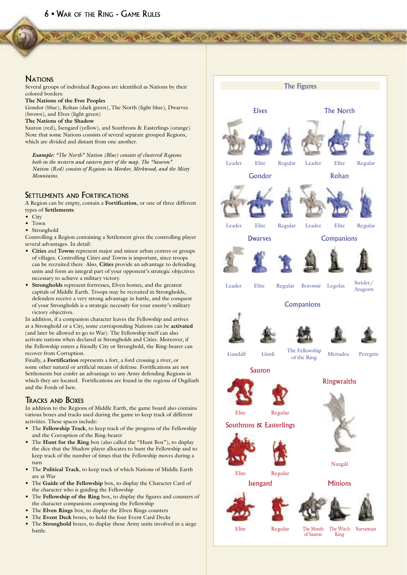### **NATIONS**

Several groups of individual Regions are identified as Nations by their colored borders:

**The Nations of the Free Peoples**

Gondor (blue), Rohan (dark green), The North (light blue), Dwarves (brown), and Elves (light green)

**The Nations of the Shadow**

Sauron (red), Isengard (yellow), and Southrons & Easterlings (orange) Note that some Nations consists of several separate grouped Regions, which are divided and distant from one another.

*Example: "The North" Nation (Blue) consists of clustered Regions both in the western and eastern part of the map. The "Sauron" Nation (Red) consists of Regions in Mordor, Mirkwood, and the Misty Mountains.*

### SETTLEMENTS AND FORTIFICATIONS

A Region can be empty, contain a **Fortification**, or one of three different types of **Settlements**:

- City
- Town
- Stronghold

Controlling a Region containing a Settlement gives the controlling player several advantages. In detail:

- **Cities** and **Towns** represent major and minor urban centres or groups of villages. Controlling Cities and Towns is important, since troops can be recruited there. Also, **Cities** provide an advantage to defending units and form an integral part of your opponent's strategic objectives necessary to achieve a military victory.
- **Strongholds** represent fortresses, Elven homes, and the greatest capitals of Middle Earth. Troops may be recruited in Strongholds, defenders receive a very strong advantage in battle, and the conquest of your Strongholds is a strategic necessity for your enemy's military victory objectives.

In addition, if a companion character leaves the Fellowship and arrives at a Stronghold or a City, some corresponding Nations can be **activated** (and later be allowed to go to War). The Fellowship itself can also activate nations when declared at Strongholds and Cities. Moreover, if the Fellowship enters a friendly City or Stronghold, the Ring-bearer can recover from Corruption.

Finally, a **Fortification** represents a fort, a ford crossing a river, or some other natural or artificial means of defense. Fortifications are not Settlements but confer an advantage to any Army defending Regions in which they are located. Fortifications are found in the regions of Osgiliath and the Fords of Isen.

### TRACKS AND BOXES

In addition to the Regions of Middle Earth, the game board also contains various boxes and tracks used during the game to keep track of different activities. These spaces include:

- The **Fellowship Track**, to keep track of the progress of the Fellowship and the Corruption of the Ring-bearer
- The **Hunt for the Ring** box (also called the "Hunt Box"), to display the dice that the Shadow player allocates to hunt the Fellowship and to keep track of the number of times that the Fellowship moves during a turn
- The **Political Track**, to keep track of which Nations of Middle Earth are at War
- The **Guide of the Fellowship** box, to display the Character Card of the character who is guiding the Fellowship
- The **Fellowship of the Ring** box, to display the figures and counters of the character companions composing the Fellowship
- The **Elven Rings** box, to display the Elven Rings counters
- The Event Deck boxes, to hold the four Event Card Decks
- The **Stronghold** boxes, to display those Army units involved in a siege battle.



**THE REPORT OF THE CASE OF THE CASE OF THE REAL PROPERTY.**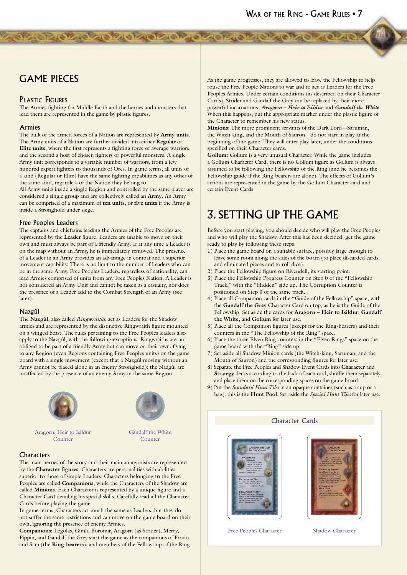### **GAME PIECES**

### **PLASTIC FIGURES**

The Armies fighting for Middle Earth and the heroes and monsters that lead them are represented in the game by plastic figures.

**ONTARTA CIVIL AND THE CONTABILITY OF A CONTABING** 

#### $A$ rmies

The bulk of the armed forces of a Nation are represented by Army units. The Army units of a Nation are further divided into either Regular or Elite units, where the first represents a fighting force of average warriors and the second a host of chosen fighters or powerful monsters. A single Army unit corresponds to a variable number of warriors, from a few hundred expert fighters to thousands of Orcs. In game terms, all units of a kind (Regular or Elite) have the same fighting capabilities as any other of the same kind, regardless of the Nation they belong to.

All Army units inside a single Region and controlled by the same player are considered a single group and are collectively called an Army. An Army can be comprised of a maximum of ten units, or five units if the Army is inside a Stronghold under siege.

#### **Free Peoples Leaders**

The captains and chieftains leading the Armies of the Free Peoples are represented by the Leader figure. Leaders are unable to move on their own and must always be part of a friendly Army. If at any time a Leader is on the map without an Army, he is immediately removed. The presence of a Leader in an Army provides an advantage in combat and a superior movement capability. There is no limit to the number of Leaders who can be in the same Army. Free Peoples Leaders, regardless of nationality, can lead Armies comprised of units from any Free Peoples Nation. A Leader is not considered an Army Unit and cannot be taken as a casualty, nor does the presence of a Leader add to the Combat Strength of an Army (see later).

#### Nazgûl

The Nazgûl, also called Ringwraiths, act as Leaders for the Shadow armies and are represented by the distinctive Ringwraith figure mounted on a winged beast. The rules pertaining to the Free Peoples leaders also apply to the Nazgûl, with the following exceptions: Ringwraiths are not obliged to be part of a friendly Army but can move on their own, flying to any Region (even Regions containing Free Peoples units) on the game board with a single movement (except that a Nazgûl moving without an Army cannot be placed alone in an enemy Stronghold); the Nazgûl are unaffected by the presence of an enemy Army in the same Region.



Aragorn, Heir to Isildur Counter



Gandalf the White Counter

#### Characters

The main heroes of the story and their main antagonists are represented by the Character figures. Characters are personalities with abilities superior to those of simple Leaders. Characters belonging to the Free Peoples are called Companions, while the Characters of the Shadow are called Minions. Each Character is represented by a unique figure and a Character Card detailing his special skills. Carefully read all the Character Cards before playing the game.

In game terms, Characters act much the same as Leaders, but they do not suffer the same restrictions and can move on the game board on their own, ignoring the presence of enemy Armies.

Companions: Legolas, Gimli, Boromir, Aragorn (as Strider), Merry, Pippin, and Gandalf the Grey start the game as the companions of Frodo and Sam (the Ring-bearers), and members of the Fellowship of the Ring. As the game progresses, they are allowed to leave the Fellowship to help rouse the Free People Nations to war and to act as Leaders for the Free Peoples Armies. Under certain conditions (as described on their Character Cards), Strider and Gandalf the Grey can be replaced by their more powerful incarnations: Aragorn - Heir to Isildur and Gandalf the White. When this happens, put the appropriate marker under the plastic figure of the Character to remember his new status.

Minions: The more prominent servants of the Dark Lord-Saruman, the Witch-king, and the Mouth of Sauron-do not start in play at the beginning of the game. They will enter play later, under the conditions specified on their Character cards

Gollum: Gollum is a very unusual Character. While the game includes a Gollum Character Card, there is no Gollum figure as Gollum is always assumed to be following the Fellowship of the Ring (and he becomes the Fellowship guide if the Ring-bearers are alone). The effects of Gollum's actions are represented in the game by the Gollum Character card and certain Event Cards.

# **3. SETTING UP THE GAME**

Before you start playing, you should decide who will play the Free Peoples and who will play the Shadow. After this has been decided, get the game ready to play by following these steps:

- 1) Place the game board on a suitable surface, possibly large enough to leave some room along the sides of the board (to place discarded cards and eliminated pieces and to roll dice).
- 2) Place the Fellowship figure on Rivendell, its starting point.
- 3) Place the Fellowship Progress Counter on Step 0 of the "Fellowship Track," with the "Hidden" side up. The Corruption Counter is positioned on Step 0 of the same track.
- 4) Place all Companion cards in the "Guide of the Fellowship" space, with the Gandalf the Grey Character Card on top, as he is the Guide of the Fellowship. Set aside the cards for Aragorn - Heir to Isildur, Gandalf the White, and Gollum for later use.
- 5) Place all the Companion figures (except for the Ring-bearers) and their counters in the "The Fellowship of the Ring" space.
- 6) Place the three Elven Ring counters in the "Elven Rings" space on the game board with the "Ring" side up.
- 7) Set aside all Shadow Minion cards (the Witch-king, Saruman, and the Mouth of Sauron) and the corresponding figures for later use.
- 8) Separate the Free Peoples and Shadow Event Cards into Character and Strategy decks according to the back of each card, shuffle them separately, and place them on the corresponding spaces on the game board.
- 9) Put the *Standard Hunt Tiles* in an opaque container (such as a cup or a bag): this is the Hunt Pool. Set aside the Special Hunt Tiles for later use.

**Character Cards** 





Free Peoples Character

**Shadow Character**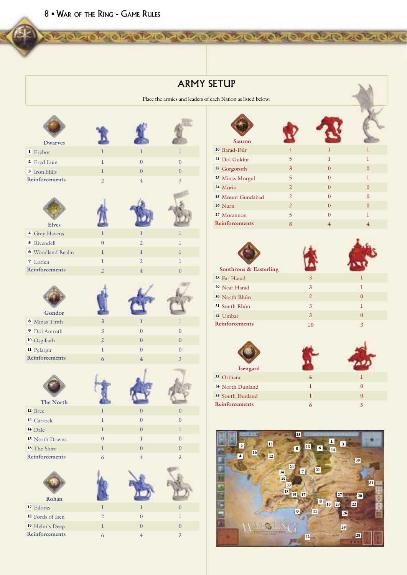|                             |                  |                  |                  | Place the armies and leaders of each Nation as listed below. |
|-----------------------------|------------------|------------------|------------------|--------------------------------------------------------------|
| <b>Dwarves</b>              |                  |                  |                  | <b>Sauron</b>                                                |
| <sup>1</sup> Erebor         | T.               | $\mathbf{I}$     | 1                | <sup>20</sup> Barad-Dûr                                      |
| <sup>2</sup> Ered Luin      | $\mathbf{I}$     | $\overline{0}$   | $\overline{0}$   | <sup>21</sup> Dol Guldur                                     |
| <sup>3</sup> Iron Hills     | $\mathbf{I}$     | $\Omega$         | $\overline{0}$   | <sup>22</sup> Gorgoroth                                      |
| <b>Reinforcements</b>       | $\overline{2}$   | $\overline{4}$   | $\overline{3}$   | <sup>23</sup> Minas Morgul                                   |
|                             |                  |                  |                  | <sup>24</sup> Moria                                          |
|                             |                  |                  |                  | <sup>25</sup> Mount Gundabad                                 |
|                             |                  |                  |                  | <sup>26</sup> Nurn                                           |
|                             |                  |                  |                  | <sup>27</sup> Morannon                                       |
| <b>Elves</b>                |                  |                  |                  | Reinforcements                                               |
| <sup>4</sup> Grey Havens    | L                | $\mathbf{I}$     | $\mathbf{I}$     |                                                              |
| 5 Rivendell                 | $\overline{0}$   | $\overline{2}$   | 1                |                                                              |
| <b>6</b> Woodland Realm     | 1                | $\bf{l}$         | 1                |                                                              |
| <sup>7</sup> Lorien         | $\mathbf{I}$     | $\overline{2}$   | 1                |                                                              |
| Reinforcements              | $\overline{2}$   | $\overline{4}$   | $\overline{0}$   | Southrons & Easter                                           |
|                             |                  |                  |                  | <sup>28</sup> Far Harad                                      |
|                             |                  |                  |                  | <sup>29</sup> Near Harad                                     |
|                             |                  |                  |                  | <sup>30</sup> North Rhûn                                     |
|                             |                  |                  |                  | <sup>31</sup> South Rhûn                                     |
| Gondor                      |                  |                  |                  | 32 Umbar                                                     |
| 8 Minas Tirith              | $\mathfrak{Z}$   | $\bf{l}$         | 1                | Reinforcements                                               |
| <sup>9</sup> Dol Amroth     | $\overline{3}$   | $\overline{0}$   | $\overline{0}$   |                                                              |
| <sup>10</sup> Osgiliath     | $\overline{2}$   | $\overline{0}$   | $\mathbf{0}$     |                                                              |
| <sup>11</sup> Pelargir      | $\mathbf{I}$     | $\Omega$         | $\overline{0}$   |                                                              |
| Reinforcements              | 6                | $\overline{4}$   | $\overline{3}$   |                                                              |
|                             |                  |                  |                  | <b>Isengard</b>                                              |
|                             |                  |                  |                  | 33 Orthanc                                                   |
|                             |                  |                  |                  | <sup>34</sup> North Dunland                                  |
| The North                   |                  |                  |                  | <sup>35</sup> South Dunland                                  |
| <sup>12</sup> Bree          | 1                | $\boldsymbol{0}$ | $\boldsymbol{0}$ | Reinforcements                                               |
| <sup>13</sup> Carrock       | $\mathbf{1}$     | $\overline{0}$   | $\overline{0}$   |                                                              |
| <sup>14</sup> Dale          | $\mathbf{1}$     | $\overline{0}$   | $\bf{l}$         |                                                              |
| <sup>15</sup> North Downs   | $\boldsymbol{0}$ | $\bf{l}$         | $\boldsymbol{0}$ |                                                              |
| <sup>16</sup> The Shire     | $\bf{l}$         | $\boldsymbol{0}$ | $\boldsymbol{0}$ |                                                              |
| Reinforcements              | 6                | $\,4\,$          | $\overline{3}$   | 16                                                           |
| Rohan                       |                  |                  |                  |                                                              |
| <sup>17</sup> Edoras        | $\mathbf{I}$     | $\bf{l}$         | $\boldsymbol{0}$ |                                                              |
| <sup>18</sup> Fords of Isen | $\overline{2}$   | $\boldsymbol{0}$ | $\bf{l}$         |                                                              |
| <sup>19</sup> Helm's Deep   | $\bf{l}$         | $\boldsymbol{0}$ | $\boldsymbol{0}$ |                                                              |
| Reinforcements              | 6                | $\overline{4}$   | $\mathbf{R}$     |                                                              |

| ch Nation as listed below. |                              |                |                |                |
|----------------------------|------------------------------|----------------|----------------|----------------|
|                            | <b>Sauron</b>                |                |                |                |
|                            | <sup>20</sup> Barad-Dûr      | $\overline{4}$ | 1              | 1              |
|                            | <sup>21</sup> Dol Guldur     | 5              | $\mathbf{I}$   | $\mathbf{I}$   |
|                            | <sup>22</sup> Gorgoroth      | $\overline{3}$ | $\theta$       | $\Omega$       |
|                            | <sup>23</sup> Minas Morgul   | 5              | $\Omega$       | $\mathbf{I}$   |
|                            | <sup>24</sup> Moria          | $\overline{2}$ | $\Omega$       | $\theta$       |
|                            | <sup>25</sup> Mount Gundabad | $\overline{2}$ | $\Omega$       | $\Omega$       |
|                            | $26$ Nurn                    | $\overline{2}$ | $\theta$       | $\theta$       |
|                            | <sup>27</sup> Morannon       | 5              | $\overline{0}$ | ī              |
|                            | Reinforcements               | 8              | $\overline{4}$ | $\overline{4}$ |
|                            |                              |                |                |                |

X

ARMY SETUP

**RADIO CONTENTACIÓN DE CARDO A CIVIL DE CONTENTIUS** 

| Southrons & Easterling   |                |          |
|--------------------------|----------------|----------|
| 28 Far Harad             | $\overline{3}$ |          |
| <sup>29</sup> Near Harad | 3              |          |
| <sup>30</sup> North Rhûn | 2              | $\theta$ |
| <sup>31</sup> South Rhûn | 3              |          |
| 32 Umbar                 | $\overline{3}$ | $\Omega$ |
| <b>Reinforcements</b>    | 10             | 3        |

|                             | <b>Isengard</b> |   |          |
|-----------------------------|-----------------|---|----------|
| 33 Orthanc                  |                 |   |          |
| <sup>34</sup> North Dunland |                 |   | 0        |
| 35 South Dunland            |                 |   | $\Omega$ |
| <b>Reinforcements</b>       |                 | 6 | 5        |

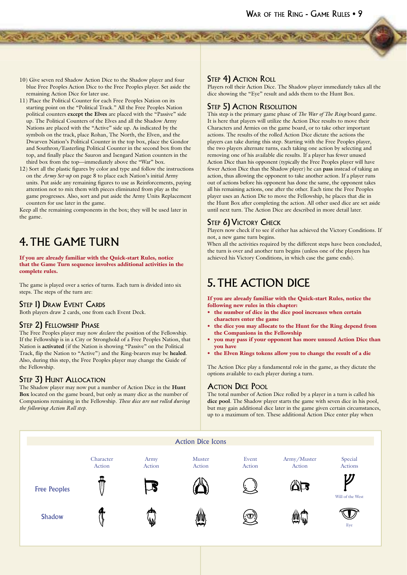10) Give seven red Shadow Action Dice to the Shadow player and four blue Free Peoples Action Dice to the Free Peoples player. Set aside the remaining Action Dice for later use.

de crois de la statute de la crois de la crois de

- 11) Place the Political Counter for each Free Peoples Nation on its starting point on the "Political Track." All the Free Peoples Nation political counters **except the Elves** are placed with the "Passive" side up. The Political Counters of the Elves and all the Shadow Army Nations are placed with the "Active" side up. As indicated by the symbols on the track, place Rohan, The North, the Elven, and the Dwarven Nation's Political Counter in the top box, place the Gondor and Southron/Easterling Political Counter in the second box from the top, and finally place the Sauron and Isengard Nation counters in the third box from the top—immediately above the "War" box.
- 12) Sort all the plastic figures by color and type and follow the instructions on the *Army Set-up* on page 8 to place each Nation's initial Army units. Put aside any remaining figures to use as Reinforcements, paying attention not to mix them with pieces eliminated from play as the game progresses. Also, sort and put aside the Army Units Replacement counters for use later in the game.

Keep all the remaining components in the box; they will be used later in the game.

# 4. THE GAME TURN

If you are already familiar with the Quick-start Rules, notice that the Game Turn sequence involves additional activities in the complete rules.

The game is played over a series of turns. Each turn is divided into six steps. The steps of the turn are:

### STEP 1) DRAW EVENT CARDS

Both players draw 2 cards, one from each Event Deck.

### STEP 2) FELLOWSHIP PHASE

The Free Peoples player may now *declare* the position of the Fellowship. If the Fellowship is in a City or Stronghold of a Free Peoples Nation, that Nation is **activated** (if the Nation is showing "Passive" on the Political Track, flip the Nation to "Active") and the Ring-bearers may be **healed**. Also, during this step, the Free Peoples player may change the Guide of the Fellowship.

### STEP 3) HUNT ALLOCATION

The Shadow player may now put a number of Action Dice in the **Hunt Box** located on the game board, but only as many dice as the number of Companions remaining in the Fellowship. *These dice are not rolled during the following Action Roll step.*

### STEP 4) ACTION ROLL

Players roll their Action Dice. The Shadow player immediately takes all the dice showing the "Eye" result and adds them to the Hunt Box.

### STEP 5) ACTION RESOLUTION

This step is the primary game phase of *The War of The Ring* board game. It is here that players will utilize the Action Dice results to move their Characters and Armies on the game board, or to take other important actions. The results of the rolled Action Dice dictate the actions the players can take during this step. Starting with the Free Peoples player, the two players alternate turns, each taking one action by selecting and removing one of his available die results. If a player has fewer unused Action Dice than his opponent (typically the Free Peoples player will have fewer Action Dice than the Shadow player) he can **pass** instead of taking an action, thus allowing the opponent to take another action. If a player runs out of actions before his opponent has done the same, the opponent takes all his remaining actions, one after the other. Each time the Free Peoples player uses an Action Die to move the Fellowship, he places that die in the Hunt Box after completing the action. All other used dice are set aside until next turn. The Action Dice are described in more detail later.

### STEP 6) VICTORY CHECK

Players now check if to see if either has achieved the Victory Conditions. If not, a new game turn begins.

When all the activities required by the different steps have been concluded, the turn is over and another turn begins (unless one of the players has achieved his Victory Conditions, in which case the game ends).

### 5. THE ACTION DICE

If you are already familiar with the Quick-start Rules, notice the following new rules in this chapter:

- the number of dice in the dice pool increases when certain characters enter the game
- the dice you may allocate to the Hunt for the Ring depend from the Companions in the Fellowship
- you may pass if your opponent has more unused Action Dice than you have
- the Elven Rings tokens allow you to change the result of a die

The Action Dice play a fundamental role in the game, as they dictate the options available to each player during a turn.

### ACTION DICE POOL

The total number of Action Dice rolled by a player in a turn is called his **dice pool**. The Shadow player starts the game with seven dice in his pool, but may gain additional dice later in the game given certain circumstances, up to a maximum of ten. These additional Action Dice enter play when

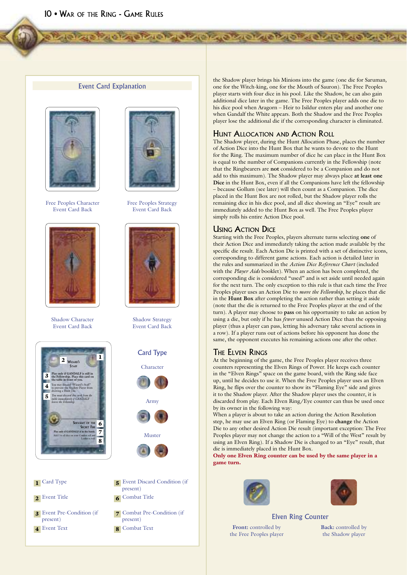### **Event Card Explanation**





Free Peoples Character Event Card Back



Shadow Character Event Card Back



| <b>T</b> Card Type         |
|----------------------------|
| 2 Event Title              |
| $Econt$ $Dco$ $Con$ dition |

3 Event Pre-Condition (if present) 4 Event Text

**Free Peoples Strategy** Event Card Back



**Shadow Strategy** Event Card Back



- 5 Event Discard Condition (if present) 6 Combat Title
- 7 Combat Pre-Condition (if present)
- 8 Combat Text

the Shadow player brings his Minions into the game (one die for Saruman, one for the Witch-king, one for the Mouth of Sauron). The Free Peoples player starts with four dice in his pool. Like the Shadow, he can also gain additional dice later in the game. The Free Peoples player adds one die to his dice pool when Aragorn - Heir to Isildur enters play and another one when Gandalf the White appears. Both the Shadow and the Free Peoples player lose the additional die if the corresponding character is eliminated.

### **HUNT ALLOCATION AND ACTION ROLL**

**ON CONCRETE CREATIVE CREATIVE CREATIVE** 

The Shadow player, during the Hunt Allocation Phase, places the number of Action Dice into the Hunt Box that he wants to devote to the Hunt for the Ring. The maximum number of dice he can place in the Hunt Box is equal to the number of Companions currently in the Fellowship (note that the Ringbearers are not considered to be a Companion and do not add to this maximum). The Shadow player may always place at least one Dice in the Hunt Box, even if all the Companions have left the fellowship - because Gollum (see later) will then count as a Companion. The dice placed in the Hunt Box are not rolled, but the Shadow player rolls the remaining dice in his dice pool, and all dice showing an "Eye" result are immediately added to the Hunt Box as well. The Free Peoples player simply rolls his entire Action Dice pool.

### USING ACTION DICE

Starting with the Free Peoples, players alternate turns selecting one of their Action Dice and immediately taking the action made available by the specific die result. Each Action Die is printed with a set of distinctive icons, corresponding to different game actions. Each action is detailed later in the rules and summarized in the Action Dice Reference Chart (included with the Player Aids booklet). When an action has been completed, the corresponding die is considered "used" and is set aside until needed again for the next turn. The only exception to this rule is that each time the Free Peoples player uses an Action Die to move the Fellowship, he places that die in the Hunt Box after completing the action rather than setting it aside (note that the die is returned to the Free Peoples player at the end of the turn). A player may choose to pass on his opportunity to take an action by using a die, but only if he has *fewer* unused Action Dice than the opposing player (thus a player can pass, letting his adversary take several actions in a row). If a player runs out of actions before his opponent has done the same, the opponent executes his remaining actions one after the other.

### The Elven Rings

At the beginning of the game, the Free Peoples player receives three counters representing the Elven Rings of Power. He keeps each counter in the "Elven Rings" space on the game board, with the Ring side face up, until he decides to use it. When the Free Peoples player uses an Elven Ring, he flips over the counter to show its "Flaming Eye" side and gives it to the Shadow player. After the Shadow player uses the counter, it is discarded from play. Each Elven Ring/Eye counter can thus be used once by its owner in the following way:

When a player is about to take an action during the Action Resolution step, he may use an Elven Ring (or Flaming Eye) to change the Action Die to any other desired Action Die result (important exception: The Free Peoples player may not change the action to a "Will of the West" result by using an Elven Ring). If a Shadow Die is changed to an "Eye" result, that die is immediately placed in the Hunt Box.

Only one Elven Ring counter can be used by the same player in a game turn.





### **Elven Ring Counter**

Front: controlled by the Free Peoples player Back: controlled by the Shadow player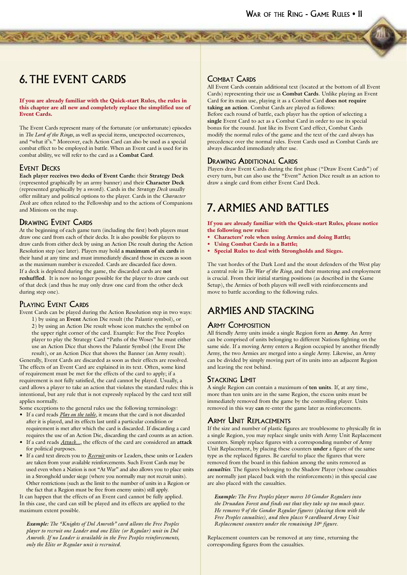# 6. THE EVENT CARDS

If you are already familiar with the Quick-start Rules, the rules in this chapter are all new and completely replace the simplified use of Event Cards.

de la ciencia de la ciencia de la ciencia de la ciencia

The Event Cards represent many of the fortunate (or unfortunate) episodes in *The Lord of the Rings*, as well as special items, unexpected occurrences, and "what if's." Moreover, each Action Card can also be used as a special combat effect to be employed in battle. When an Event card is used for its combat ability, we will refer to the card as a **Combat Card**.

### EVENT DECKS

**Each player receives two decks of Event Cards:** their **Strategy Deck** (represented graphically by an army banner) and their **Character Deck**  (represented graphically by a sword). Cards in the *Strategy Deck* usually offer military and political options to the player. Cards in the *Character Deck* are often related to the Fellowship and to the actions of Companions and Minions on the map.

### DRAWING EVENT CARDS

At the beginning of each game turn (including the first) both players must draw one card from each of their decks. It is also possible for players to draw cards from either deck by using an Action Die result during the Action Resolution step (see later). Players may hold **a maximum of six cards** in their hand at any time and must immediately discard those in excess as soon as the maximum number is exceeded. Cards are discarded face down. If a deck is depleted during the game, the discarded cards are **not reshuffled**. It is now no longer possible for the player to draw cards out of that deck (and thus he may only draw one card from the other deck during step one).

### PLAYING EVENT CARDS

Event Cards can be played during the Action Resolution step in two ways: 1) by using an **Event** Action Die result (the Palantir symbol), or 2) by using an Action Die result whose icon matches the symbol on the upper right corner of the card. Example: For the Free Peoples player to play the Strategy Card "Paths of the Woses" he must either use an Action Dice that shows the Palantir Symbol (the Event Die

result), or an Action Dice that shows the Banner (an Army result). Generally, Event Cards are discarded as soon as their effects are resolved. The effects of an Event Card are explained in its text. Often, some kind of requirement must be met for the effects of the card to apply; if a requirement is not fully satisfied, the card cannot be played. Usually, a card allows a player to take an action that violates the standard rules: this is intentional, but any rule that is not expressly replaced by the card text still applies normally.

Some exceptions to the general rules use the following terminology:

- If a card reads *Play on the table*, it means that the card is not discarded after it is played, and its effects last until a particular condition or requirement is met after which the card is discarded. If discarding a card requires the use of an Action Die, discarding the card counts as an action.
- If a card reads *Attack...*, the effects of the card are considered an **attack** for political purposes.
- If a card text directs you to *Recruit* units or Leaders, these units or Leaders are taken from your available reinforcements. Such Event Cards may be used even when a Nation is not "At War" and also allows you to place units in a Stronghold under siege (where you normally may not recruit units). Other restrictions (such as the limit to the number of units in a Region or the fact that a Region must be free from enemy units) still apply.

It can happen that the effects of an Event card cannot be fully applied. In this case, the card can still be played and its effects are applied to the maximum extent possible.

*Example: The "Knights of Dol Amroth" card allows the Free Peoples player to recruit one Leader and one Elite (or Regular) unit in Dol Amroth. If no Leader is available in the Free Peoples reinforcements, only the Elite or Regular unit is recruited.*

### COMBAT CARDS

All Event Cards contain additional text (located at the bottom of all Event Cards) representing their use as **Combat Cards**. Unlike playing an Event Card for its main use, playing it as a Combat Card **does not require taking an action**. Combat Cards are played as follows:

Before each round of battle, each player has the option of selecting a **single** Event Card to act as a Combat Card in order to use its special bonus for the round. Just like its Event Card effect, Combat Cards modify the normal rules of the game and the text of the card always has precedence over the normal rules. Event Cards used as Combat Cards are always discarded immediately after use.

### DRAWING ADDITIONAL CARDS

Players draw Event Cards during the first phase ("Draw Event Cards") of every turn, but can also use the "Event" Action Dice result as an action to draw a single card from either Event Card Deck.

# 7. ARMIES AND BATTLES

If you are already familiar with the Quick-start Rules, please notice the following new rules:

- Characters' role when using Armies and doing Battle;
- Using Combat Cards in a Battle;
- Special Rules to deal with Strongholds and Sieges.

The vast hordes of the Dark Lord and the stout defenders of the West play a central role in *The War of the Ring*, and their mustering and employment is crucial. From their initial starting positions (as described in the Game Setup), the Armies of both players will swell with reinforcements and move to battle according to the following rules.

### ARMIES AND STACKING

### **ARMY COMPOSITION**

All friendly Army units inside a single Region form an **Army**. An Army can be comprised of units belonging to different Nations fighting on the same side. If a moving Army enters a Region occupied by another friendly Army, the two Armies are merged into a single Army. Likewise, an Army can be divided by simply moving part of its units into an adjacent Region and leaving the rest behind.

### STACKING LIMIT

A single Region can contain a maximum of **ten units**. If, at any time, more than ten units are in the same Region, the excess units must be immediately removed from the game by the controlling player. Units removed in this way **can** re-enter the game later as reinforcements.

### ARMY UNIT REPLACEMENTS

If the size and number of plastic figures are troublesome to physically fit in a single Region, you may replace single units with Army Unit Replacement counters. Simply replace figures with a corresponding number of Army Unit Replacement, by placing these counters **under** a figure of the same type as the replaced figures. Be careful to place the figures that were removed from the board in this fashion among the units removed as *casualties*. The figures belonging to the Shadow Player (whose casualties are normally just placed back with the reinforcements) in this special case are also placed with the casualties.

*Example: The Free Peoples player moves 10 Gondor Regulars into the Druadan Forest and finds out that they take up too much space. He removes 9 of the Gondor Regular figures (placing them with the Free Peoples casualties), and then places 9 cardboard Army Unit Replacement counters under the remaining 10<sup>th</sup> figure.* 

Replacement counters can be removed at any time, returning the corresponding figures from the casualties.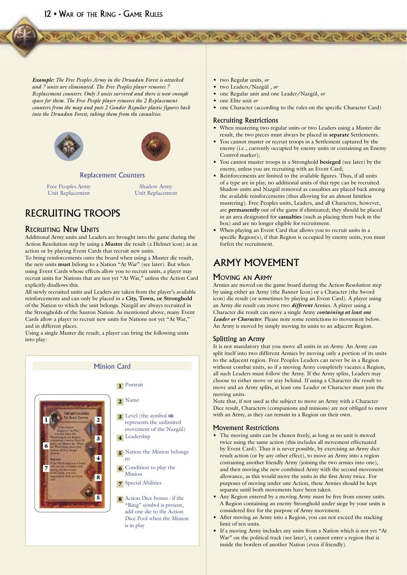12 . WAR OF THE RING - GAME RULES

**Example:** The Free Peoples Army in the Druadan Forest is attacked and 7 units are eliminated. The Free Peoples player removes 7 Replacement counters. Only 3 units survived and there is now enough space for them. The Free People player removes the 2 Replacement counters from the map and puts 2 Gondor Regular plastic figures back into the Druadan Forest, taking them from the casualties.





#### **Replacement Counters**

Free Peoples Army Unit Replacement

Shadow Army Unit Replacement

### RECRUITING TROOPS

### **RECRUITING NEW UNITS**

Additional Army units and Leaders are brought into the game during the Action Resolution step by using a Muster die result (a Helmet icon) as an action or by playing Event Cards that recruit new units.

To bring reinforcements onto the board when using a Muster die result, the new units must belong to a Nation "At War" (see later). But when using Event Cards whose effects allow you to recruit units, a player may recruit units for Nations that are not yet "At War," unless the Action Card explicitly disallows this.

All newly recruited units and Leaders are taken from the player's available reinforcements and can only be placed in a City, Town, or Stronghold of the Nation to which the unit belongs. Nazgûl are always recruited in the Strongholds of the Sauron Nation. As mentioned above, many Event Cards allow a player to recruit new units for Nations not yet "At War," and in different places.

Using a single Muster die result, a player can bring the following units into play:



- two Regular units, or
- · two Leaders/Nazgûl, or

**ON CASE ON CASE CASE ON CASE OF CASE ON CASE OF** 

- · one Regular unit and one Leader/Nazgûl, or
- $\bullet$  one Elite unit or
- one Character (according to the rules on the specific Character Card)

#### **Recruiting Restrictions**

- When mustering two regular units or two Leaders using a Muster die result, the two pieces must always be placed in separate Settlements.
- You cannot muster or recruit troops in a Settlement captured by the enemy (i.e., currently occupied by enemy units or containing an Enemy Control marker);
- You cannot muster troops in a Stronghold besieged (see later) by the enemy, unless you are recruiting with an Event Card;
- Reinforcements are limited to the available figures. Thus, if all units of a type are in play, no additional units of that type can be recruited. Shadow units and Nazgûl removed as casualties are placed back among the available reinforcements (thus allowing for an almost limitless mustering). Free Peoples units, Leaders, and all Characters, however, are permanently out of the game if eliminated; they should be placed in an area designated for casualties (such as placing them back in the box) and are no longer eligible for recruitment.
- When playing an Event Card that allows you to recruit units in a specific Region(s), if that Region is occupied by enemy units, you must forfeit the recruitment.

### **ARMY MOVEMENT**

#### **MOVING AN ARMY**

Armies are moved on the game board during the Action Resolution step by using either an Army (the Banner Icon) or a Character (the Sword icon) die result (or sometimes by playing an Event Card). A player using an Army die result can move two *different* Armies. A player using a Character die result can move a single Army containing at least one Leader or Character. Please note some restrictions to movement below. An Army is moved by simply moving its units to an adjacent Region.

### Splitting an Army

It is not mandatory that you move all units in an Army. An Army can split itself into two different Armies by moving only a portion of its units to the adjacent region. Free Peoples Leaders can never be in a Region without combat units, so if a moving Army completely vacates a Region, all such Leaders must follow the Army. If the Army splits, Leaders may choose to either move or stay behind. If using a Character die result to move and an Army splits, at least one Leader or Character must join the moving units.

Note that, if not used as the subject to move an Army with a Character Dice result, Characters (companions and minions) are not obliged to move with an Army, as they can remain in a Region on their own.

### **Movement Restrictions**

- The moving units can be chosen freely, as long as no unit is moved twice using the same action (this includes all movement effectuated by Event Card). Thus it is never possible, by exercising an Army dice result action (or by any other effect), to move an Army into a region containing another friendly Army (joining the two armies into one), and then moving the new combined Army with the second movement allowance, as this would move the units in the first Army twice. For purposes of moving under one Action, these Armies should be kept separate until both movements have been taken.
- Any Region entered by a moving Army must be free from enemy units. A Region containing an enemy Stronghold under siege by your units is considered free for the purpose of Army movement.
- After moving an Army into a Region, you can not exceed the stacking limit of ten units
- If a moving Army includes any units from a Nation which is not yet "At War" on the political track (see later), it cannot enter a region that is inside the borders of another Nation (even if friendly).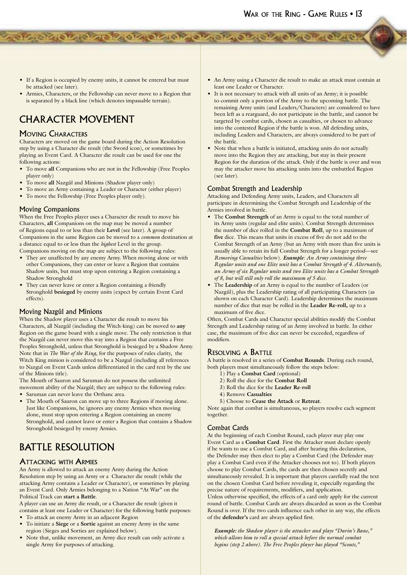• If a Region is occupied by enemy units, it cannot be entered but must be attacked (see later).

de de la ciencia de la disposición de la ciencia de

• Armies, Characters, or the Fellowship can never move to a Region that is separated by a black line (which denotes impassable terrain).

# CHARACTER MOVEMENT

### MOVING CHARACTERS

Characters are moved on the game board during the Action Resolution step by using a Character die result (the Sword icon), or sometimes by playing an Event Card. A Character die result can be used for one the following actions:

- To move **all** Companions who are not in the Fellowship (Free Peoples player only)
- To move **all** Nazgûl and Minions (Shadow player only)
- To move an Army containing a Leader or Character (either player)
- To move the Fellowship (Free Peoples player only).

### Moving Companions

When the Free Peoples player uses a Character die result to move his Characters, **all** Companions on the map may be moved a number of Regions equal to or less than their **Level** (see later). A group of Companions in the same Region can be moved to a *common* destination at a distance equal to or less than the *highest* Level in the group. Companions moving on the map are subject to the following rules:

• They are unaffected by any enemy Army. When moving alone or with other Companions, they can enter or leave a Region that contains Shadow units, but must stop upon entering a Region containing a

Shadow Stronghold • They can never leave or enter a Region containing a friendly Stronghold **besieged** by enemy units (expect by certain Event Card effects).

### Moving Nazgûl and Minions

When the Shadow player uses a Character die result to move his Characters, all Nazgûl (including the Witch-king) can be moved to **any** Region on the game board with a single move. The only restriction is that the Nazgûl can never move this way into a Region that contains a Free Peoples Stronghold, unless that Stronghold is besieged by a Shadow Army. Note that in *The War of the Ring*, for the purposes of rules clarity, the Witch King minion is considered to be a Nazgul (including all references to Nazgul on Event Cards unless differentiated in the card text by the use of the Minions title).

The Mouth of Sauron and Saruman do not possess the unlimited movement ability of the Nazgûl; they are subject to the following rules:

- Saruman can never leave the Orthanc area.
- The Mouth of Sauron can move up to three Regions if moving alone. Just like Companions, he ignores any enemy Armies when moving alone, must stop upon entering a Region containing an enemy Stronghold, and cannot leave or enter a Region that contains a Shadow Stronghold besieged by enemy Armies.

# BATTLE RESOLUTION

### ATTACKING WITH ARMIES

An Army is allowed to attack an enemy Army during the Action Resolution step by using an Army or a Character die result (while the attacking Army contains a Leader or Character), or sometimes by playing an Event Card. Only Armies belonging to a Nation "At War" on the Political Track can **start a Battle**.

A player can use an Army die result, or a Character die result (given it contains at least one Leader or Character) for the following battle purposes:

- To attack an enemy Army in an adjacent Region
- To initiate a **Siege** or a **Sortie** against an enemy Army in the same region (Sieges and Sorties are explained below).
- Note that, unlike movement, an Army dice result can only activate a single Army for purposes of attacking.
- An Army using a Character die result to make an attack must contain at least one Leader or Character.
- It is not necessary to attack with all units of an Army; it is possible to commit only a portion of the Army to the upcoming battle. The remaining Army units (and Leaders/Characters) are considered to have been left as a rearguard, do not participate in the battle, and cannot be targeted by combat cards, chosen as casualties, or chosen to advance into the contested Region if the battle is won. All defending units, including Leaders and Characters, are always considered to be part of the battle.
- Note that when a battle is initiated, attacking units do not actually move into the Region they are attacking, but stay in their present Region for the duration of the attack. Only if the battle is over and won may the attacker move his attacking units into the embattled Region (see later).

### Combat Strength and Leadership

Attacking and Defending Army units, Leaders, and Characters all participate in determining the Combat Strength and Leadership of the Armies involved in battle.

- The **Combat Strength** of an Army is equal to the total number of its Army units (regular and elite units). Combat Strength determines the number of dice rolled in the **Combat Roll**, up to a maximum of **five** dice. This means that units in excess of five do not add to the Combat Strength of an Army (but an Army with more than five units is usually able to retain its full Combat Strength for a longer period—see *Removing Casualties* below). *Example: An Army containing three Regular units and one Elite unit has a Combat Strength of 4. Alternately, an Army of six Regular units and two Elite units has a Combat Strength of 8, but will still only roll the maximum of 5 dice.*
- The **Leadership** of an Army is equal to the number of Leaders (or Nazgûl), plus the Leadership rating of all participating Characters (as shown on each Character Card). Leadership determines the maximum number of dice that may be rolled in the **Leader Re-roll,** up to a maximum of five dice.

Often, Combat Cards and Character special abilities modify the Combat Strength and Leadership rating of an Army involved in battle. In either case, the maximum of five dice can never be exceeded, regardless of modifiers.

### RESOLVING A BATTLE

A battle is resolved in a series of **Combat Rounds**. During each round, both players must simultaneously follow the steps below:

- 1) Play a **Combat Card** (optional)
- 2) Roll the dice for the **Combat Roll**
- 3) Roll the dice for the **Leader Re-roll**
- 4) Remove **Casualties**
- 5) Choose to **Cease the Attack** or **Retreat**.

Note again that combat is simultaneous, so players resolve each segment together.

### Combat Cards

At the beginning of each Combat Round, each player may play one Event Card as a **Combat Card**. First the Attacker must declare openly if he wants to use a Combat Card, and after hearing this declaration, the Defender may then elect to play a Combat Card (the Defender may play a Combat Card even if the Attacker chooses not to). If both players choose to play Combat Cards, the cards are then chosen secretly and simultaneously revealed. It is important that players carefully read the text on the chosen Combat Card before revealing it, especially regarding the precise nature of requirements, modifiers, and application.

Unless otherwise specified, the effects of a card only apply for the current round of battle. Combat Cards are always discarded as soon as the Combat Round is over. If the two cards influence each other in any way, the effects of the **defender's** card are always applied first.

*Example: the Shadow player is the attacker and plays "Durin's Bane," which allows him to roll a special attack before the normal combat begins (step 2 above). The Free Peoples player has played "Scouts,"*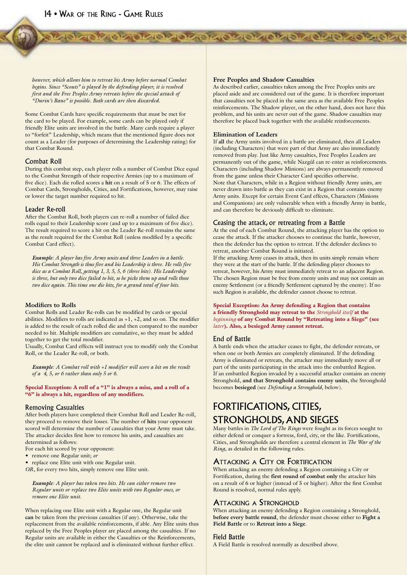*however, which allows him to retreat his Army before normal Combat begins. Since "Scouts" is played by the defending player, it is resolved first and the Free Peoples Army retreats before the special attack of "Durin's Bane" is possible. Both cards are then discarded.*

Some Combat Cards have specific requirements that must be met for the card to be played. For example, some cards can be played only if friendly Elite units are involved in the battle. Many cards require a player to "forfeit" Leadership, which means that the mentioned figure does not count as a Leader (for purposes of determining the Leadership rating) for that Combat Round.

### Combat Roll

During this combat step, each player rolls a number of Combat Dice equal to the Combat Strength of their respective Armies (up to a maximum of five dice). Each die rolled scores a **hit** on a result of 5 or 6. The effects of Combat Cards, Strongholds, Cities, and Fortifications, however, may raise or lower the target number required to hit.

#### Leader Re-roll

After the Combat Roll, both players can re-roll a number of failed dice rolls equal to their Leadership score (and up to a maximum of five dice). The result required to score a hit on the Leader Re-roll remains the same as the result required for the Combat Roll (unless modified by a specific Combat Card effect).

*Example: A player has five Army units and three Leaders in a battle. His Combat Strength is thus five and his Leadership is three. He rolls five dice as a Combat Roll, getting 1, 3, 5, 5, 6 (three hits). His Leadership is three, but only two dice failed to hit, so he picks them up and rolls those two dice again. This time one die hits, for a grand total of four hits.*

#### **Modifiers to Rolls**

Combat Rolls and Leader Re-rolls can be modified by cards or special abilities. Modifiers to rolls are indicated as  $+1$ ,  $+2$ , and so on. The modifier is added to the result of each rolled die and then compared to the number needed to hit. Multiple modifiers are cumulative, so they must be added together to get the total modifier.

Usually, Combat Card effects will instruct you to modify only the Combat Roll, or the Leader Re-roll, or both.

*Example: A Combat roll with +1 modifier will score a hit on the result of a 4, 5, or 6 rather than only 5 or 6.*

Special Exception: A roll of a "1" is always a miss, and a roll of a "6" is always a hit, regardless of any modifiers.

#### Removing Casualties

After both players have completed their Combat Roll and Leader Re-roll, they proceed to remove their losses. The number of **hits** your opponent scored will determine the number of casualties that your Army must take. The attacker decides first how to remove his units, and casualties are determined as follows:

For each hit scored by your opponent:

- remove one Regular unit; *or*
- replace one Elite unit with one Regular unit.

*OR*, for every two hits, simply remove one Elite unit.

*Example: A player has taken two hits. He can either remove two Regular units or replace two Elite units with two Regular ones, or remove one Elite unit.*

When replacing one Elite unit with a Regular one, the Regular unit **can** be taken from the previous casualties (if any). Otherwise, take the replacement from the available reinforcements, if able. Any Elite units thus replaced by the Free Peoples player are placed among the casualties. If no Regular units are available in either the Casualties or the Reinforcements, the elite unit cannot be replaced and is eliminated without further effect.

#### **Free Peoples and Shadow Casualties**

**TO PERSONAL AND AND ACTIVITY OF A CIVIL AND AND A CIVIL AND A CIVIL AND A CIVIL AND A CIVIL AND A CIVIL AND AND A** 

As described earlier, casualties taken among the Free Peoples units are placed aside and are considered out of the game. It is therefore important that casualties not be placed in the same area as the available Free Peoples reinforcements. The Shadow player, on the other hand, does not have this problem, and his units are never out of the game. Shadow casualties may therefore be placed back together with the available reinforcements.

#### **Elimination of Leaders**

If **all** the Army units involved in a battle are eliminated, then all Leaders (including Characters) that were part of that Army are also immediately removed from play. Just like Army casualties, Free Peoples Leaders are permanently out of the game, while Nazgûl can re-enter as reinforcements. Characters (including Shadow Minions) are always permanently removed from the game unless their Character Card specifies otherwise. Note that Characters, while in a Region without friendly Army units, are never drawn into battle as they can exist in a Region that contains enemy Army units. Except for certain Event Card effects, Characters (Minions and Companions) are only vulnerable when with a friendly Army in battle, and can therefore be deviously difficult to eliminate.

#### Ceasing the attack, or retreating from a Battle

At the end of each Combat Round, the attacking player has the option to cease the attack. If the attacker chooses to continue the battle, however, then the defender has the option to retreat. If the defender declines to retreat, another Combat Round is initiated.

If the attacking Army ceases its attack, then its units simply remain where they were at the start of the battle. If the defending player chooses to retreat, however, his Army must immediately retreat to an adjacent Region. The chosen Region must be free from enemy units and may not contain an enemy Settlement (or a friendly Settlement captured by the enemy). If no such Region is available, the defender cannot choose to retreat.

Special Exception: An Army defending a Region that contains a friendly Stronghold may retreat to the *Stronghold itself* at the *beginning* of any Combat Round by "Retreating into a Siege" (see *later*). Also, a besieged Army cannot retreat.

#### End of Battle

A battle ends when the attacker ceases to fight, the defender retreats, or when one or both Armies are completely eliminated. If the defending Army is eliminated or retreats, the attacker may immediately move all or part of the units participating in the attack into the embattled Region. If an embattled Region invaded by a successful attacker contains an enemy Stronghold, **and that Stronghold contains enemy units**, the Stronghold becomes **besieged** (see *Defending a Stronghold,* below).

### FORTIFICATIONS, CITIES, STRONGHOLDS, AND SIEGES

Many battles in *The Lord of The Rings* were fought as its forces sought to either defend or conquer a fortress, ford, city, or the like. Fortifications, Cities, and Strongholds are therefore a central element in *The War of the Ring*, as detailed in the following rules.

### ATTACKING A CITY OR FORTIFICATION

When attacking an enemy defending a Region containing a City or Fortification, during the **first round of combat only** the attacker hits on a result of 6 or higher (instead of 5 or higher). After the first Combat Round is resolved, normal rules apply.

### ATTACKING A STRONGHOLD

When attacking an enemy defending a Region containing a Stronghold, **before every battle round**, the defender must choose either to **Fight a Field Battle** or to **Retreat into a Siege**.

#### Field Battle

A Field Battle is resolved normally as described above.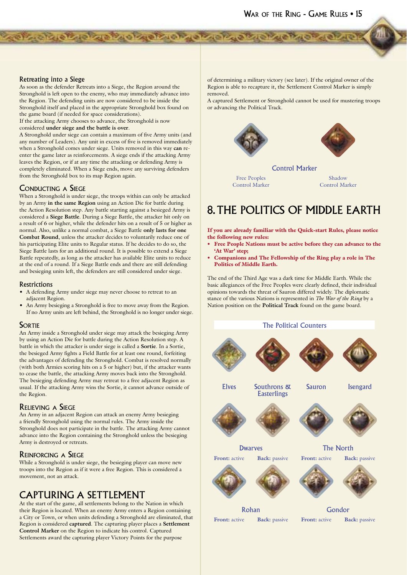### Retreating into a Siege

As soon as the defender Retreats into a Siege, the Region around the Stronghold is left open to the enemy, who may immediately advance into the Region. The defending units are now considered to be inside the Stronghold itself and placed in the appropriate Stronghold box found on the game board (if needed for space considerations).

distribution and character of the state of the basic

If the attacking Army chooses to advance, the Stronghold is now considered **under siege and the battle is over**.

A Stronghold under siege can contain a maximum of five Army units (and any number of Leaders). Any unit in excess of five is removed immediately when a Stronghold comes under siege. Units removed in this way **can** reenter the game later as reinforcements. A siege ends if the attacking Army leaves the Region, or if at any time the attacking or defending Army is completely eliminated. When a Siege ends, move any surviving defenders from the Stronghold box to its map Region again.

### CONDUCTING A SIEGE

When a Stronghold is under siege, the troops within can only be attacked by an Army **in the same Region** using an Action Die for battle during the Action Resolution step. Any battle starting against a besieged Army is considered a **Siege Battle**. During a Siege Battle, the attacker hit only on a result of 6 or higher, while the defender hits on a result of 5 or higher as normal. Also, unlike a normal combat, a Siege Battle **only lasts for one Combat Round**, unless the attacker decides to voluntarily reduce one of his participating Elite units to Regular status. If he decides to do so, the Siege Battle lasts for an additional round. It is possible to extend a Siege Battle repeatedly, as long as the attacker has available Elite units to reduce at the end of a round. If a Siege Battle ends and there are still defending and besieging units left, the defenders are still considered under siege.

#### **Restrictions**

- A defending Army under siege may never choose to retreat to an adjacent Region.
- An Army besieging a Stronghold is free to move away from the Region. If no Army units are left behind, the Stronghold is no longer under siege.

### **SORTIE**

An Army inside a Stronghold under siege may attack the besieging Army by using an Action Die for battle during the Action Resolution step. A battle in which the attacker is under siege is called a **Sortie**. In a Sortie, the besieged Army fights a Field Battle for at least one round, forfeiting the advantages of defending the Stronghold. Combat is resolved normally (with both Armies scoring hits on a 5 or higher) but, if the attacker wants to cease the battle, the attacking Army moves back into the Stronghold. The besieging defending Army may retreat to a free adjacent Region as usual. If the attacking Army wins the Sortie, it cannot advance outside of the Region.

### RELIEVING A SIEGE

An Army in an adjacent Region can attack an enemy Army besieging a friendly Stronghold using the normal rules. The Army inside the Stronghold does not participate in the battle. The attacking Army cannot advance into the Region containing the Stronghold unless the besieging Army is destroyed or retreats.

#### REINFORCING A SIEGE

While a Stronghold is under siege, the besieging player can move new troops into the Region as if it were a free Region. This is considered a movement, not an attack.

### CAPTURING A SETTLEMENT

At the start of the game, all settlements belong to the Nation in which their Region is located. When an enemy Army enters a Region containing a City or Town, or when units defending a Stronghold are eliminated, that Region is considered **captured**. The capturing player places a **Settlement Control Marker** on the Region to indicate his control. Captured Settlements award the capturing player Victory Points for the purpose

of determining a military victory (see later). If the original owner of the Region is able to recapture it, the Settlement Control Marker is simply removed.

A captured Settlement or Stronghold cannot be used for mustering troops or advancing the Political Track.





Control Marker

Free Peoples Control Marker

Shadow Control Marker

# 8. THE POLITICS OF MIDDLE EARTH

If you are already familiar with the Quick-start Rules, please notice the following new rules:

- Free People Nations must be active before they can advance to the 'At War' step;
- Companions and The Fellowship of the Ring play a role in The Politics of Middle Earth.

The end of the Third Age was a dark time for Middle Earth. While the basic allegiances of the Free Peoples were clearly defined, their individual opinions towards the threat of Sauron differed widely. The diplomatic stance of the various Nations is represented in *The War of the Ring* by a Nation position on the **Political Track** found on the game board.

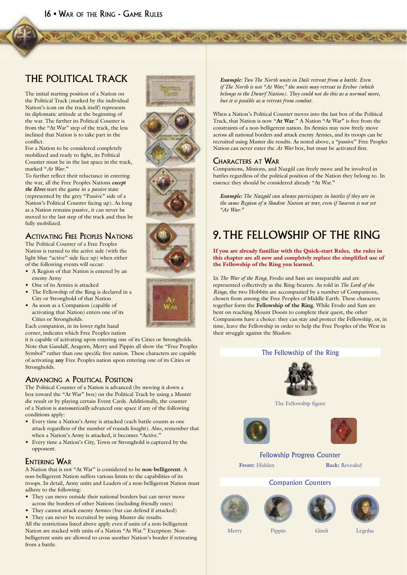### THE POLITICAL TRACK

The initial starting position of a Nation on the Political Track (marked by the individual Nation's icon on the track itself) represents its diplomatic attitude at the beginning of the war. The farther its Political Counter is from the "At War" step of the track, the less inclined that Nation is to take part in the conflict.

For a Nation to be considered completely mobilized and ready to fight, its Political Counter must be in the last space in the track, marked "*At War*."

To further reflect their reluctance in entering the war, all the Free Peoples Nations *except the Elves* start the game in a *passive* state (represented by the grey "Passive" side of a Nation's Political Counter facing up). As long as a Nation remains passive, it can never be moved to the last step of the track and thus be fully mobilized.

### ACTIVATING FREE PEOPLES NATIONS

The Political Counter of a Free Peoples Nation is turned to the active side (with the light blue "active" side face up) when either of the following events will occur:

- A Region of that Nation is entered by an enemy Army
- One of its Armies is attacked
- The Fellowship of the Ring is declared in a City or Stronghold of that Nation
- As soon as a Companion (capable of activating that Nation) enters one of its Cities or Strongholds.

Each companion, in its lower right hand corner, indicates which Free Peoples nation

it is capable of activating upon entering one of its Cities or Strongholds. Note that Gandalf, Aragorn, Merry and Pippin all show the "Free Peoples Symbol" rather than one specific free nation. These characters are capable of activating **any** Free Peoples nation upon entering one of its Cities or Strongholds.

### ADVANCING A POLITICAL POSITION

The Political Counter of a Nation is advanced (by moving it down a box toward the "At War" box) on the Political Track by using a Muster die result or by playing certain Event Cards. Additionally, the counter of a Nation is *automatically* advanced one space if any of the following conditions apply:

- Every time a Nation's Army is attacked (each battle counts as one attack regardless of the number of rounds fought). Also, remember that when a Nation's Army is attacked, it becomes "Active."
- Every time a Nation's City, Town or Stronghold is captured by the opponent.

### ENTERING WAR

A Nation that is not "At War" is considered to be **non-belligerent**. A non-belligerent Nation suffers various limits to the capabilities of its troops. In detail, Army units and Leaders of a non-belligerent Nation must adhere to the following:

- They can move outside their national borders but can never move across the borders of other Nations (including friendly ones)
- They cannot attack enemy Armies (but can defend if attacked)
- They can never be recruited by using Muster die results.

All the restrictions listed above apply even if units of a non-belligerent Nation are stacked with units of a Nation "At War." Exception: Nonbelligerent units are allowed to cross another Nation's border if retreating from a battle.

*Example: Two The North units in Dale retreat from a battle. Even if The North is not "At War," the units may retreat to Erebor (which belongs to the Dwarf Nation). They could not do this as a normal move, but it is possible as a retreat from combat.*

When a Nation's Political Counter moves into the last box of the Political Track, that Nation is now "**At War**." A Nation "At War" is free from the constraints of a non-belligerent nation. Its Armies may now freely move across all national borders and attack enemy Armies, and its troops can be recruited using Muster die results. As noted above, a "passive" Free Peoples Nation can never enter the *At War* box, but must be activated first.

### CHARACTERS AT WAR

**A SOUTH A STATE OF THE AND A STATE OF A STATE AND A** 

Companions, Minions, and Nazgûl can freely move and be involved in battles regardless of the political position of the Nation they belong to. In essence they should be considered already "At War."

*Example: The Nazgûl can always participate in battles if they are in the same Region of a Shadow Nation at war, even if Sauron is not yet "At War."*

# 9. THE FELLOWSHIP OF THE RING

If you are already familiar with the Quick-start Rules, the rules in this chapter are all new and completely replace the simplified use of the Fellowship of the Ring you learned.

In *The War of the Ring*, Frodo and Sam are inseparable and are represented collectively as the Ring-bearers. As told in *The Lord of the Rings*, the two Hobbits are accompanied by a number of Companions, chosen from among the Free Peoples of Middle Earth. These characters together form the **Fellowship of the Ring**. While Frodo and Sam are bent on reaching Mount Doom to complete their quest, the other Companions have a choice: they can stay and protect the Fellowship, or, in time, leave the Fellowship in order to help the Free Peoples of the West in their struggle against the Shadow.

### The Fellowship of the Ring



The Fellowship figure





### Fellowship Progress Counter Front: Hidden **Back:** Revealed

### Companion Counters







Merry Pippin Gimli Legolas

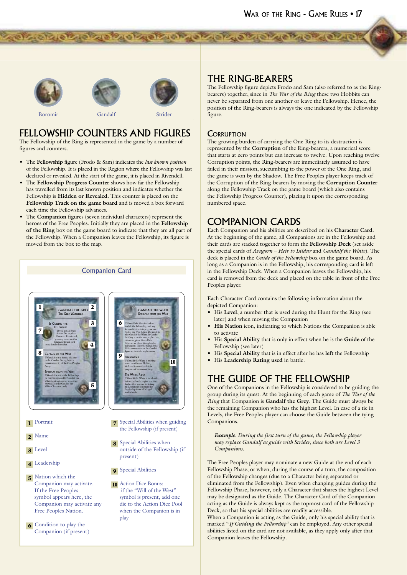





Boromir

Strider

distance as a state of the state as states

### **FELLOWSHIP COUNTERS AND FIGURES**

Gandalf

The Fellowship of the Ring is represented in the game by a number of figures and counters.

- The Fellowship figure (Frodo & Sam) indicates the *last known position* of the Fellowship. It is placed in the Region where the Fellowship was last declared or revealed. At the start of the game, it is placed in Rivendell.
- The Fellowship Progress Counter shows how far the Fellowship has travelled from its last known position and indicates whether the Fellowship is Hidden or Revealed. This counter is placed on the Fellowship Track on the game board and is moved a box forward each time the Fellowship advances.
- The Companion figures (seven individual characters) represent the heroes of the Free Peoples. Initially they are placed in the Fellowship of the Ring box on the game board to indicate that they are all part of the Fellowship. When a Companion leaves the Fellowship, its figure is moved from the box to the map.



6 Condition to play the Companion (if present) **THE RING-BEARERS** 

The Fellowship figure depicts Frodo and Sam (also referred to as the Ringbearers) together, since in *The War of the Ring* these two Hobbits can never be separated from one another or leave the Fellowship. Hence, the position of the Ring-bearers is always the one indicated by the Fellowship figure.

### **CORRUPTION**

The growing burden of carrying the One Ring to its destruction is represented by the Corruption of the Ring-bearers, a numerical score that starts at zero points but can increase to twelve. Upon reaching twelve Corruption points, the Ring-bearers are immediately assumed to have failed in their mission, succumbing to the power of the One Ring, and the game is won by the Shadow. The Free Peoples player keeps track of the Corruption of the Ring-bearers by moving the Corruption Counter along the Fellowship Track on the game board (which also contains the Fellowship Progress Counter), placing it upon the corresponding numbered space.

### **COMPANION CARDS**

Each Companion and his abilities are described on his Character Card. At the beginning of the game, all Companions are in the Fellowship and their cards are stacked together to form the Fellowship Deck (set aside the special cards of Aragorn - Heir to Isildur and Gandalf the White). The deck is placed in the Guide of the Fellowship box on the game board. As long as a Companion is in the Fellowship, his corresponding card is left in the Fellowship Deck. When a Companion leaves the Fellowship, his card is removed from the deck and placed on the table in front of the Free Peoples player.

Each Character Card contains the following information about the depicted Companion:

- His Level, a number that is used during the Hunt for the Ring (see later) and when moving the Companion
- His Nation icon, indicating to which Nations the Companion is able to activate
- His Special Ability that is only in effect when he is the Guide of the Fellowship (see later)
- His Special Ability that is in effect after he has left the Fellowship
- His Leadership Rating used in battle.

### THE GUIDE OF THE FELLOWSHIP

One of the Companions in the Fellowship is considered to be guiding the group during its quest. At the beginning of each game of The War of the Ring that Companion is Gandalf the Grey. The Guide must always be the remaining Companion who has the highest Level. In case of a tie in Levels, the Free Peoples player can choose the Guide between the tying Companions.

Example: During the first turn of the game, the Fellowship player may replace Gandalf as guide with Strider, since both are Level 3 Companions.

The Free Peoples player may nominate a new Guide at the end of each Fellowship Phase, or when, during the course of a turn, the composition of the Fellowship changes (due to a Character being separated or eliminated from the Fellowship). Even when changing guides during the Fellowship Phase, however, only a Character that shares the highest Level may be designated as the Guide. The Character Card of the Companion acting as the Guide is always kept as the topmost card of the Fellowship Deck, so that his special abilities are readily accessible.

When a Companion is acting as the Guide, only his special ability that is marked "If Guiding the Fellowship" can be employed. Any other special abilities listed on the card are not available, as they apply only after that Companion leaves the Fellowship.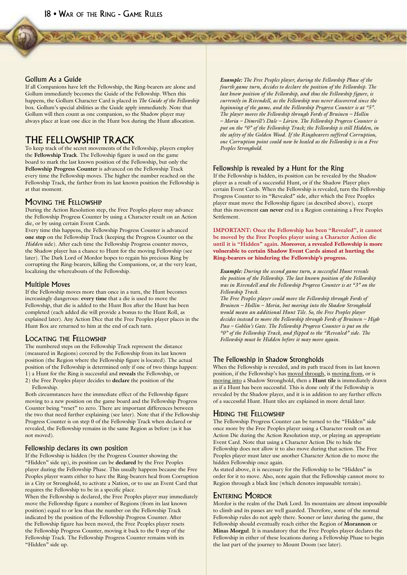### Gollum As a Guide

If all Companions have left the Fellowship, the Ring-bearers are alone and Gollum immediately becomes the Guide of the Fellowship. When this happens, the Gollum Character Card is placed in *The Guide of the Fellowship* box. Gollum's special abilities as the Guide apply immediately. Note that Gollum will then count as one companion, so the Shadow player may always place at least one dice in the Hunt box during the Hunt allocation.

### THE FELLOWSHIP TRACK

To keep track of the secret movements of the Fellowship, players employ the **Fellowship Track**. The Fellowship figure is used on the game board to mark the last known position of the Fellowship, but only the **Fellowship Progress Counter** is advanced on the Fellowship Track every time the Fellowship moves. The higher the number reached on the Fellowship Track, the farther from its last known position the Fellowship is at that moment.

### MOVING THE FELLOWSHIP

During the Action Resolution step, the Free Peoples player may advance the Fellowship Progress Counter by using a Character result on an Action die, or by using certain Event Cards.

Every time this happens, the Fellowship Progress Counter is advanced **one step** on the Fellowship Track (keeping the Progress Counter on the *Hidden* side). After each time the Fellowship Progress counter moves, the Shadow player has a chance to Hunt for the moving Fellowship (see later). The Dark Lord of Mordor hopes to regain his precious Ring by corrupting the Ring-bearers, killing the Companions, or, at the very least, localizing the whereabouts of the Fellowship.

### Multiple Moves

If the Fellowship moves more than once in a turn, the Hunt becomes increasingly dangerous: **every time** that a die is used to move the Fellowship, that die is added to the Hunt Box after the Hunt has been completed (each added die will provide a bonus to the Hunt Roll, as explained later). Any Action Dice that the Free Peoples player places in the Hunt Box are returned to him at the end of each turn.

### LOCATING THE FELLOWSHIP

The numbered steps on the Fellowship Track represent the distance (measured in Regions) covered by the Fellowship from its last known position (the Region where the Fellowship figure is located). The actual position of the Fellowship is determined only if one of two things happen: 1) a Hunt for the Ring is successful and **reveals** the Fellowship, or 2) the Free Peoples player decides to **declare** the position of the Fellowship.

Both circumstances have the immediate effect of the Fellowship figure moving to a new position on the game board and the Fellowship Progress Counter being "reset" to zero. There are important differences between the two that need further explaining (see later). Note that if the Fellowship Progress Counter is on step 0 of the Fellowship Track when declared or revealed, the Fellowship remains in the same Region as before (as it has not moved).

### Fellowship declares its own position

If the Fellowship is hidden (by the Progress Counter showing the "Hidden" side up), its position can be **declared** by the Free Peoples player during the Fellowship Phase. This usually happens because the Free Peoples player wants either to have the Ring-bearers heal from Corruption in a City or Stronghold, to activate a Nation, or to use an Event Card that requires the Fellowship to be in a specific place.

When the Fellowship is declared, the Free Peoples player may immediately move the Fellowship figure a number of Regions (from its last known position) equal to or less than the number on the Fellowship Track indicated by the position of the Fellowship Progress Counter. After the Fellowship figure has been moved, the Free Peoples player resets the Fellowship Progress Counter, moving it back to the 0 step of the Fellowship Track. The Fellowship Progress Counter remains with its "Hidden" side up.

*Example: The Free Peoples player, during the Fellowship Phase of the fourth game turn, decides to declare the position of the Fellowship. The last know position of the Fellowship, and thus the Fellowship figure, is currently in Rivendell, as the Fellowship was never discovered since the beginning of the game, and the Fellowship Progress Counter is at "5". The player moves the Fellowship through Fords of Bruinen – Hollin – Moria – Dimrill's Dale – Lórien. The Fellowship Progress Counter is put on the "0" of the Fellowship Track; the Fellowship is still Hidden, in the safety of the Golden Wood. If the Ringbearers suffered Corruption, one Corruption point could now be healed as the Fellowship is in a Free Peoples Stronghold.*

### Fellowship is revealed by a Hunt for the Ring

**THE READ AND A REPORT OF A PARTICIPAL AND A READ AND A READ AND A READ AND A READ AND A READ AND A READ AND A** 

If the Fellowship is hidden, its position can be revealed by the Shadow player as a result of a successful Hunt, or if the Shadow Player plays certain Event Cards. When the Fellowship is revealed, turn the Fellowship Progress Counter to its "Revealed" side, after which the Free Peoples player must move the Fellowship figure (as described above), except that this movement **can never** end in a Region containing a Free Peoples Settlement.

**IMPORTANT: Once the Fellowship has been "Revealed", it cannot be moved by the Free Peoples player using a Character Action die until it is "Hidden" again.** Moreover, a revealed Fellowship is more vulnerable to certain Shadow Event Cards aimed at hurting the Ring-bearers or hindering the Fellowship's progress.

*Example: During the second game turn, a successful Hunt reveals the position of the Fellowship. The last known position of the Fellowship was in Rivendell and the Fellowship Progress Counter is at "3" on the Fellowship Track.*

*The Free Peoples player could move the Fellowship through Fords of Bruinen – Hollin – Moria, but moving into the Shadow Stronghold would mean an additional Hunt Tile. So, the Free Peoples player decides instead to move the Fellowship through Fords of Bruinen – High Pass – Goblin's Gate. The Fellowship Progress Counter is put on the "0" of the Fellowship Track, and flipped to the "Revealed" side. The Fellowship must be Hidden before it may move again.*

### The Fellowship in Shadow Strongholds

When the Fellowship is revealed, and its path traced from its last known position, if the Fellowship's has moved through, is moving from, or is moving into a Shadow Stronghold, then a **Hunt tile** is immediately drawn as if a Hunt has been successful. This is done only if the Fellowship is revealed by the Shadow player, and it is in addition to any further effects of a successful Hunt. Hunt tiles are explained in more detail later.

### HIDING THE FELLOWSHIP

The Fellowship Progress Counter can be turned to the "Hidden" side once more by the Free Peoples player using a Character result on an Action Die during the Action Resolution step, or playing an appropriate Event Card. Note that using a Character Action Die to hide the Fellowship does not allow it to also move during that action. The Free Peoples player must later use another Character Action die to move the hidden Fellowship once again.

As stated above, it is necessary for the Fellowship to be "Hidden" in order for it to move. Also, note again that the Fellowship cannot move to Region through a black line (which denotes impassable terrain).

### ENTERING MORDOR

Mordor is the realm of the Dark Lord. Its mountains are almost impossible to climb and its passes are well guarded. Therefore, some of the normal Fellowship rules do not apply there. Sooner or later during the game, the Fellowship should eventually reach either the Region of **Morannon** or **Minas Morgul**. It is mandatory that the Free Peoples player declares the Fellowship in either of these locations during a Fellowship Phase to begin the last part of the journey to Mount Doom (see later).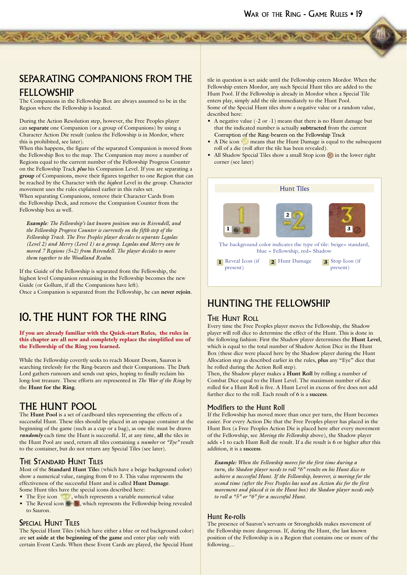### SEPARATING COMPANIONS FROM THE FELLOWSHIP

de la propieda de la propieda de la propieda de la propieda

The Companions in the Fellowship Box are always assumed to be in the Region where the Fellowship is located.

During the Action Resolution step, however, the Free Peoples player can **separate** one Companion (or a group of Companions) by using a Character Action Die result (unless the Fellowship is in Mordor, where this is prohibited, see later).

When this happens, the figure of the separated Companion is moved from the Fellowship Box to the map. The Companion may move a number of Regions equal to the current number of the Fellowship Progress Counter on the Fellowship Track *plus* his Companion Level. If you are separating a **group** of Companions, move their figures together to one Region that can be reached by the Character with the *highest* Level in the group. Character movement uses the rules explained earlier in this rules set.

When separating Companions, remove their Character Cards from the Fellowship Deck, and remove the Companion Counter from the Fellowship box as well.

*Example: The Fellowship's last known position was in Rivendell, and the Fellowship Progress Counter is currently on the fifth step of the Fellowship Track. The Free Peoples player decides to separate Legolas (Level 2) and Merry (Level 1) as a group. Legolas and Merry can be moved 7 Regions (5+2) from Rivendell. The player decides to move them together to the Woodland Realm.*

If the Guide of the Fellowship is separated from the Fellowship, the highest level Companion remaining in the Fellowship becomes the new Guide (or Gollum, if all the Companions have left). Once a Companion is separated from the Fellowship, he can **never rejoin**.

# 10. THE HUNT FOR THE RING

If you are already familiar with the Quick-start Rules, the rules in this chapter are all new and completely replace the simplified use of the Fellowship of the Ring you learned.

While the Fellowship covertly seeks to reach Mount Doom, Sauron is searching tirelessly for the Ring-bearers and their Companions. The Dark Lord gathers rumours and sends out spies, hoping to finally reclaim his long-lost treasure. These efforts are represented in *The War of the Ring* by the **Hunt for the Ring**.

### THE HUNT POOL

The **Hunt Pool** is a set of cardboard tiles representing the effects of a successful Hunt. These tiles should be placed in an opaque container at the beginning of the game (such as a cup or a bag), as one tile must be drawn *randomly* each time the Hunt is successful. If, at any time, **all** the tiles in the Hunt Pool are used, return all tiles containing a *number* or *"Eye"* result to the container, but do not return any Special Tiles (see later).

### THE STANDARD HUNT TILES

Most of the **Standard Hunt Tile**s (which have a beige background color) show a numerical value, ranging from 0 to 3. This value represents the effectiveness of the successful Hunt and is called **Hunt Damage**. Some Hunt tiles have the special icons described here:

- The Eye icon , which represents a variable numerical value
- The Reveal icon  $\blacksquare$ , which represents the Fellowship being revealed to Sauron.

### SPECIAL HUNT TILES

The Special Hunt Tiles (which have either a blue or red background color) are **set aside at the beginning of the game** and enter play only with certain Event Cards. When these Event Cards are played, the Special Hunt

tile in question is set aside until the Fellowship enters Mordor. When the Fellowship enters Mordor, any such Special Hunt tiles are added to the Hunt Pool. If the Fellowship is already in Mordor when a Special Tile enters play, simply add the tile immediately to the Hunt Pool. Some of the Special Hunt tiles show a negative value or a random value, described here:

- A negative value (-2 or -1) means that there is no Hunt damage but that the indicated number is actually **subtracted** from the current Corruption of the Ring-bearers on the Fellowship Track
- A Die icon means that the Hunt Damage is equal to the subsequent roll of a die (roll after the tile has been revealed).
- All Shadow Special Tiles show a small Stop icon in the lower right corner (see later)



### HUNTING THE FELLOWSHIP

### **THE HUNT ROLL**

Every time the Free Peoples player moves the Fellowship, the Shadow player will roll dice to determine the effect of the Hunt. This is done in the following fashion: First the Shadow player determines the **Hunt Level**, which is equal to the total number of Shadow Action Dice in the Hunt Box (these dice were placed here by the Shadow player during the Hunt Allocation step as described earlier in the rules, **plus** any "Eye" dice that he rolled during the Action Roll step).

Then, the Shadow player makes a **Hunt Roll** by rolling a number of Combat Dice equal to the Hunt Level. The maximum number of dice rolled for a Hunt Roll is five. A Hunt Level in excess of five does not add further dice to the roll. Each result of 6 is a **success**.

### Modifiers to the Hunt Roll

If the Fellowship has moved more than once per turn, the Hunt becomes easier. For every Action Die that the Free Peoples player has placed in the Hunt Box (a Free Peoples Action Die is placed here after every movement of the Fellowship, see *Moving the Fellowship* above), the Shadow player adds +1 to each Hunt Roll die result. If a die result is 6 or higher after this addition, it is a **success**.

*Example: When the Fellowship moves for the first time during a turn, the Shadow player needs to roll "6" results on his Hunt dice to achieve a successful Hunt. If the Fellowship, however, is moving for the second time (after the Free Peoples has used an Action die for the first movement and placed it in the Hunt box) the Shadow player needs only to roll a "5" or "6" for a successful Hunt.*

### Hunt Re-rolls

The presence of Sauron's servants or Strongholds makes movement of the Fellowship more dangerous. If, during the Hunt, the last known position of the Fellowship is in a Region that contains one or more of the following…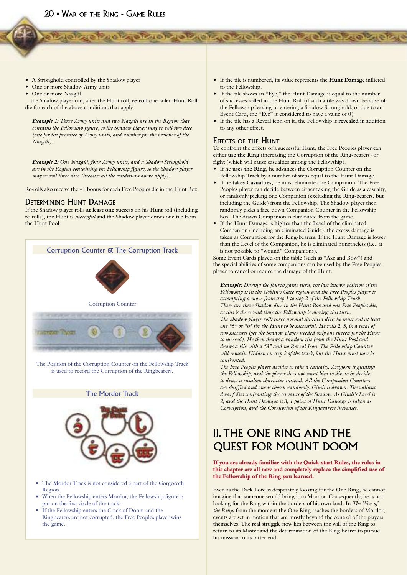- A Stronghold controlled by the Shadow player
- One or more Shadow Army units
- One or more Nazgûl

…the Shadow player can, after the Hunt roll, **re-roll** one failed Hunt Roll die for each of the above conditions that apply.

*Example 1: Three Army units and two Nazgûl are in the Region that contains the Fellowship figure, so the Shadow player may re-roll two dice (one for the presence of Army units, and another for the presence of the Nazgûl).*

*Example 2: One Nazgûl, four Army units, and a Shadow Stronghold are in the Region containing the Fellowship figure, so the Shadow player may re-roll three dice (because all the conditions above apply).*

Re-rolls also receive the +1 bonus for each Free Peoples die in the Hunt Box.

### DETERMINING HUNT DAMAGE

If the Shadow player rolls **at least one success** on his Hunt roll (including re-rolls), the Hunt is *successful* and the Shadow player draws one tile from the Hunt Pool.



The Position of the Corruption Counter on the Fellowship Track is used to record the Corruption of the Ringbearers.

The Mordor Track



- The Mordor Track is not considered a part of the Gorgoroth Region.
- When the Fellowship enters Mordor, the Fellowship figure is put on the first circle of the track.
- If the Fellowship enters the Crack of Doom and the Ringbearers are not corrupted, the Free Peoples player wins the game.

• If the tile is numbered, its value represents the **Hunt Damage** inflicted to the Fellowship.

- If the tile shows an "Eye," the Hunt Damage is equal to the number of successes rolled in the Hunt Roll (if such a tile was drawn because of the Fellowship leaving or entering a Shadow Stronghold, or due to an Event Card, the "Eye" is considered to have a value of 0).
- If the tile has a Reveal icon on it, the Fellowship is **revealed** in addition to any other effect.

### EFFECTS OF THE HUNT

To confront the effects of a successful Hunt, the Free Peoples player can either **use the Ring** (increasing the Corruption of the Ring-bearers) or **fight** (which will cause casualties among the Fellowship).

- If he **uses the Ring**, he advances the Corruption Counter on the Fellowship Track by a number of steps equal to the Hunt Damage.
- If he **takes Casualties**, he must eliminate one Companion. The Free Peoples player can decide between either taking the Guide as a casualty, or randomly picking one Companion (excluding the Ring-bearers, but including the Guide) from the Fellowship. The Shadow player then randomly picks a face-down Companion Counter in the Fellowship box. The drawn Companion is eliminated from the game.
- If the Hunt Damage is **higher** than the Level of the eliminated Companion (including an eliminated Guide), the excess damage is taken as Corruption for the Ring-bearers. If the Hunt Damage is lower than the Level of the Companion, he is eliminated nonetheless (i.e., it is not possible to "wound" Companions).

Some Event Cards played on the table (such as "Axe and Bow") and the special abilities of some companions can be used by the Free Peoples player to cancel or reduce the damage of the Hunt.

*Example: During the fourth game turn, the last known position of the Fellowship is in the Goblin's Gate region and the Free Peoples player is attempting a move from step 1 to step 2 of the Fellowship Track. There are three Shadow dice in the Hunt Box and one Free Peoples die, as this is the second time the Fellowship is moving this turn. The Shadow player rolls three normal six-sided dice: he must roll at least one "5" or "6" for the Hunt to be successful. He rolls 2, 5, 6: a total of two successes (yet the Shadow player needed only one success for the Hunt to succeed). He then draws a random tile from the Hunt Pool and draws a tile with a "3" and no Reveal Icon. The Fellowship Counter will remain Hidden on step 2 of the track, but the Hunt must now be confronted.*

*The Free Peoples player decides to take a casualty. Aragorn is guiding the Fellowship, and the player does not want him to die; so he decides to draw a random character instead. All the Companion Counters are shuffled and one is chosen randomly: Gimli is drawn. The valiant dwarf dies confronting the servants of the Shadow. As Gimli's Level is 2, and the Hunt Damage is 3, 1 point of Hunt Damage is taken as Corruption, and the Corruption of the Ringbearers increases.*

# 11. THE ONE RING AND THE QUEST FOR MOUNT DOOM

If you are already familiar with the Quick-start Rules, the rules in this chapter are all new and completely replace the simplified use of the Fellowship of the Ring you learned.

Even as the Dark Lord is desperately looking for the One Ring, he cannot imagine that someone would bring it to Mordor. Consequently, he is not looking for the Ring within the borders of his own land. In *The War of the Ring,* from the moment the One Ring reaches the borders of Mordor, events are set in motion that are mostly beyond the control of the players themselves. The real struggle now lies between the will of the Ring to return to its Master and the determination of the Ring-bearer to pursue his mission to its bitter end.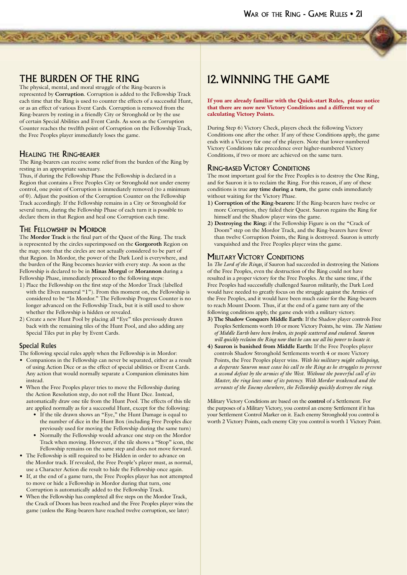### THE BURDEN OF THE RING

The physical, mental, and moral struggle of the Ring-bearers is represented by **Corruption**. Corruption is added to the Fellowship Track each time that the Ring is used to counter the effects of a successful Hunt, or as an effect of various Event Cards. Corruption is removed from the Ring-bearers by resting in a friendly City or Stronghold or by the use of certain Special Abilities and Event Cards. As soon as the Corruption Counter reaches the twelfth point of Corruption on the Fellowship Track, the Free Peoples player immediately loses the game.

**PACK CACK CACK CACK CACK CACK CACK CACK** 

### HEALING THE RING-BEARER

The Ring-bearers can receive some relief from the burden of the Ring by resting in an appropriate sanctuary.

Thus, if during the Fellowship Phase the Fellowship is declared in a Region that contains a Free Peoples City or Stronghold not under enemy control, one point of Corruption is immediately removed (to a minimum of 0). Adjust the position of the Corruption Counter on the Fellowship Track accordingly. If the Fellowship remains in a City or Stronghold for several turns, during the Fellowship Phase of each turn it is possible to declare them in that Region and heal one Corruption each time.

### THE FELLOWSHIP IN MORDOR

The **Mordor Track** is the final part of the Quest of the Ring. The track is represented by the circles superimposed on the **Gorgoroth** Region on the map; note that the circles are not actually considered to be part of that Region. In Mordor, the power of the Dark Lord is everywhere, and the burden of the Ring becomes heavier with every step. As soon as the Fellowship is declared to be in **Minas Morgul** or **Morannon** during a Fellowship Phase, immediately proceed to the following steps:

- 1) Place the Fellowship on the first step of the Mordor Track (labelled with the Elven numeral "1"). From this moment on, the Fellowship is considered to be "In Mordor." The Fellowship Progress Counter is no longer advanced on the Fellowship Track, but it is still used to show whether the Fellowship is hidden or revealed.
- 2) Create a new Hunt Pool by placing all "Eye" tiles previously drawn back with the remaining tiles of the Hunt Pool, and also adding any Special Tiles put in play by Event Cards.

### Special Rules

The following special rules apply when the Fellowship is in Mordor:

- Companions in the Fellowship can never be separated, either as a result of using Action Dice or as the effect of special abilities or Event Cards. Any action that would normally separate a Companion eliminates him instead.
- When the Free Peoples player tries to move the Fellowship during the Action Resolution step, do not roll the Hunt Dice. Instead, automatically draw one tile from the Hunt Pool. The effects of this tile are applied normally as for a successful Hunt, except for the following:
	- If the tile drawn shows an "Eye," the Hunt Damage is equal to the number of dice in the Hunt Box (including Free Peoples dice previously used for moving the Fellowship during the same turn)
	- Normally the Fellowship would advance one step on the Mordor Track when moving. However, if the tile shows a "Stop" icon, the Fellowship remains on the same step and does not move forward.
- The Fellowship is still required to be Hidden in order to advance on the Mordor track. If revealed, the Free People's player must, as normal, use a Character Action die result to hide the Fellowship once again.
- If, at the end of a game turn, the Free Peoples player has not attempted to move or hide a Fellowship in Mordor during that turn, one Corruption is automatically added to the Fellowship Track.
- When the Fellowship has completed all five steps on the Mordor Track, the Crack of Doom has been reached and the Free Peoples player wins the game (unless the Ring-bearers have reached twelve corruption, see later)

# 12. WINNING THE GAME

If you are already familiar with the Quick-start Rules, please notice that there are now new Victory Conditions and a different way of calculating Victory Points.

During Step 6) Victory Check, players check the following Victory Conditions one after the other. If any of these Conditions apply, the game ends with a Victory for one of the players. Note that lower-numbered Victory Conditions take precedence over higher-numbered Victory Conditions, if two or more are achieved on the same turn.

### RING-BASED VICTORY CONDITIONS

The most important goal for the Free Peoples is to destroy the One Ring, and for Sauron it is to reclaim the Ring. For this reason, if any of these conditions is true **any time during a turn**, the game ends immediately without waiting for the Victory Phase.

- **1) Corruption of the Ring-bearers:** If the Ring-bearers have twelve or more Corruption, they failed their Quest. Sauron regains the Ring for himself and the Shadow player wins the game.
- **2) Destroying the Ring:** if the Fellowship Figure is on the "Crack of Doom" step on the Mordor Track, and the Ring-bearers have fewer than twelve Corruption Points, the Ring is destroyed. Sauron is utterly vanquished and the Free Peoples player wins the game.

### **MILITARY VICTORY CONDITIONS**

In *The Lord of the Rings*, if Sauron had succeeded in destroying the Nations of the Free Peoples, even the destruction of the Ring could not have resulted in a proper victory for the Free Peoples. At the same time, if the Free Peoples had successfully challenged Sauron militarily, the Dark Lord would have needed to greatly focus on the struggle against the Armies of the Free Peoples, and it would have been much easier for the Ring-bearers to reach Mount Doom. Thus, if at the end of a game turn any of the following conditions apply, the game ends with a military victory.

- **3) The Shadow Conquers Middle Earth**: If the Shadow player controls Free Peoples Settlements worth 10 or more Victory Points, he wins. *The Nations of Middle Earth have been broken, its people scattered and enslaved. Sauron will quickly reclaim the Ring now that he can use all his power to locate it.*
- **4) Sauron is banished from Middle Earth:** If the Free Peoples player controls Shadow Stronghold Settlements worth 4 or more Victory Points, the Free Peoples player wins. *With his military might collapsing, a desperate Sauron must cease his call to the Ring as he struggles to prevent a second defeat by the armies of the West. Without the powerful call of its Master, the ring loses some of its potency. With Mordor weakened and the servants of the Enemy elsewhere, the Fellowship quickly destroys the ring.*

Military Victory Conditions are based on the **control** of a Settlement. For the purposes of a Military Victory, you control an enemy Settlement if it has your Settlement Control Marker on it. Each enemy Stronghold you control is worth 2 Victory Points, each enemy City you control is worth 1 Victory Point.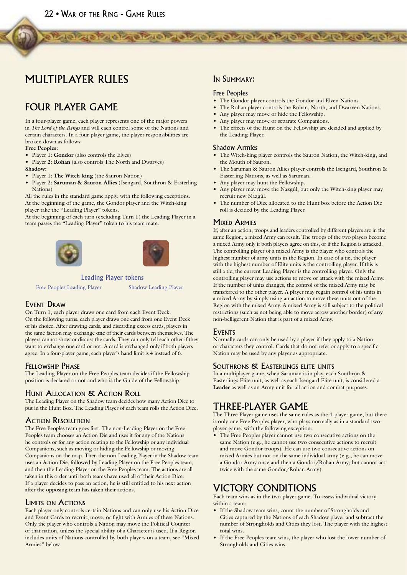# MULTIPLAYER RULES

# FOUR PLAYER GAME

In a four-player game, each player represents one of the major powers in *The Lord of the Rings* and will each control some of the Nations and certain characters. In a four-player game, the player responsibilities are broken down as follows:

### **Free Peoples:**

- Player 1: **Gondor** (also controls the Elves)
- Player 2: **Rohan** (also controls The North and Dwarves)

#### **Shadow:**

- Player 1: **The Witch-king** (the Sauron Nation)
- Player 2: **Saruman & Sauron Allies** (Isengard, Southron & Easterling Nations)

All the rules in the standard game apply, with the following exceptions. At the beginning of the game, the Gondor player and the Witch-king player take the "Leading Player" tokens.

At the beginning of each turn (excluding Turn 1) the Leading Player in a team passes the "Leading Player" token to his team mate.





### Leading Player tokens

Free Peoples Leading Player Shadow Leading Player

### EVENT DRAW

On Turn 1, each player draws one card from each Event Deck. On the following turns, each player draws one card from one Event Deck of his choice. After drawing cards, and discarding excess cards, players in the same faction may exchange **one** of their cards between themselves. The players cannot show or discuss the cards. They can only tell each other if they want to exchange one card or not. A card is exchanged only if both players agree. In a four-player game, each player's hand limit is 4 instead of 6.

### FELLOWSHIP PHASE

The Leading Player on the Free Peoples team decides if the Fellowship position is declared or not and who is the Guide of the Fellowship.

### HUNT ALLOCATION & ACTION ROLL

The Leading Player on the Shadow team decides how many Action Dice to put in the Hunt Box. The Leading Player of each team rolls the Action Dice.

### ACTION RESOLUTION

The Free Peoples team goes first. The non-Leading Player on the Free Peoples team chooses an Action Die and uses it for any of the Nations he controls or for any action relating to the Fellowship or any individual Companions, such as moving or hiding the Fellowship or moving Companions on the map. Then the non-Leading Player in the Shadow team uses an Action Die, followed by Leading Player on the Free Peoples team, and then the Leading Player on the Free Peoples team. The actions are all taken in this order until both teams have used all of their Action Dice. If a player decides to pass an action, he is still entitled to his next action after the opposing team has taken their actions.

### LIMITS ON ACTIONS

Each player only controls certain Nations and can only use his Action Dice and Event Cards to recruit, move, or fight with Armies of these Nations. Only the player who controls a Nation may move the Political Counter of that nation, unless the special ability of a Character is used. If a Region includes units of Nations controlled by both players on a team, see "Mixed Armies" below.

### IN SUMMARY:

### Free Peoples

- The Gondor player controls the Gondor and Elven Nations.
- The Rohan player controls the Rohan, North, and Dwarven Nations.
- Any player may move or hide the Fellowship.

- Any player may move or separate Companions.
- The effects of the Hunt on the Fellowship are decided and applied by the Leading Player.

### Shadow Armies

- The Witch-king player controls the Sauron Nation, the Witch-king, and the Mouth of Sauron.
- The Saruman & Sauron Allies player controls the Isengard, Southron & Easterling Nations, as well as Saruman.
- Any player may hunt the Fellowship.
- Any player may move the Nazgûl, but only the Witch-king player may recruit new Nazgûl.
- The number of Dice allocated to the Hunt box before the Action Die roll is decided by the Leading Player.

### **MIXED ARMIES**

If, after an action, troops and leaders controlled by different players are in the same Region, a mixed Army can result. The troops of the two players become a mixed Army only if both players agree on this, or if the Region is attacked. The controlling player of a mixed Army is the player who controls the highest number of army units in the Region. In case of a tie, the player with the highest number of Elite units is the controlling player. If this is still a tie, the current Leading Player is the controlling player. Only the controlling player may use actions to move or attack with the mixed Army. If the number of units changes, the control of the mixed Army may be transferred to the other player. A player may regain control of his units in a mixed Army by simply using an action to move these units out of the Region with the mixed Army. A mixed Army is still subject to the political restrictions (such as not being able to move across another border) of **any** non-belligerent Nation that is part of a mixed Army.

### EVENTS

Normally cards can only be used by a player if they apply to a Nation or characters they control. Cards that do not refer or apply to a specific Nation may be used by any player as appropriate.

### SOUTHRONS & EASTERLINGS ELITE UNITS

In a multiplayer game, when Saruman is in play, each Southron & Easterlings Elite unit, as well as each Isengard Elite unit, is considered a **Leader** as well as an Army unit for all action and combat purposes.

### THREE-PLAYER GAME

The Three Player game uses the same rules as the 4-player game, but there is only one Free Peoples player, who plays normally as in a standard twoplayer game, with the following exception:

• The Free Peoples player cannot use two consecutive actions on the same Nation (e.g., he cannot use two consecutive actions to recruit and move Gondor troops). He can use two consecutive actions on mixed Armies but not on the same individual army (e.g., he can move a Gondor Army once and then a Gondor/Rohan Army; but cannot act twice with the same Gondor/Rohan Army).

### VICTORY CONDITIONS

Each team wins as in the two-player game. To assess individual victory within a team:

- If the Shadow team wins, count the number of Strongholds and Cities captured by the Nations of each Shadow player and subtract the number of Strongholds and Cities they lost. The player with the highest total wins.
- If the Free Peoples team wins, the player who lost the lower number of Strongholds and Cities wins.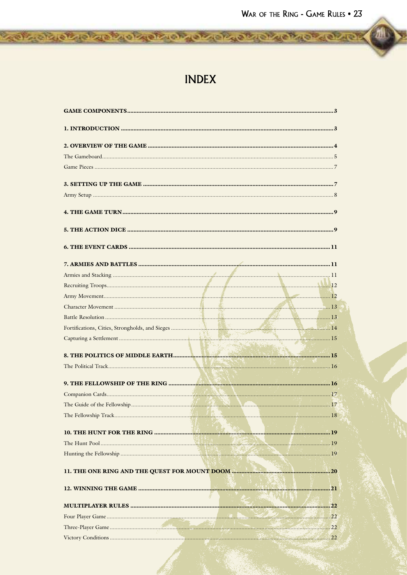# **INDEX**

**TOP OF ORDER ORDER ORDER OF CREATION OF CHANGE**